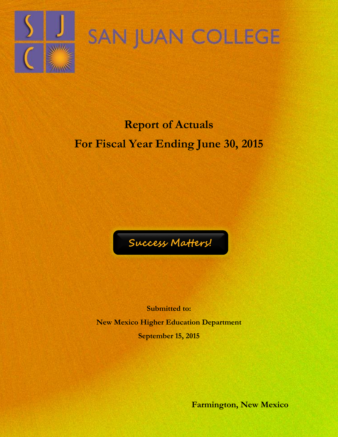

# SAN JUAN COLLEGE

## **Report of Actuals For Fiscal Year Ending June 30, 2015**



**Submitted to: New Mexico Higher Education Department September 15, 2015**

**Farmington, New Mexico**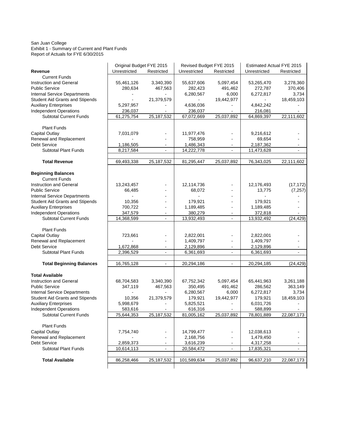#### San Juan College Exhibit 1 - Summary of Current and Plant Funds Report of Actuals for FYE 6/30/2015

|                                                                 | Original Budget FYE 2015 |                      | Revised Budget FYE 2015 |                      | <b>Estimated Actual FYE 2015</b> |                      |
|-----------------------------------------------------------------|--------------------------|----------------------|-------------------------|----------------------|----------------------------------|----------------------|
| Revenue                                                         | Unrestricted             | Restricted           | Unrestricted            | Restricted           | Unrestricted                     | Restricted           |
| <b>Current Funds</b>                                            |                          |                      |                         |                      |                                  |                      |
| <b>Instruction and General</b>                                  | 55,461,126               | 3,340,390            | 55,637,606              | 5,097,454            | 53,265,470                       | 3,278,360            |
| <b>Public Service</b>                                           | 280,634                  | 467,563              | 282,423                 | 491,462              | 272,787                          | 370,406              |
| Internal Service Departments                                    |                          |                      | 6,280,567               | 6,000                | 6,272,817                        | 3,734                |
| <b>Student Aid Grants and Stipends</b>                          | $\blacksquare$           | 21,379,579           |                         | 19,442,977           |                                  | 18,459,103           |
| <b>Auxiliary Enterprises</b>                                    | 5,297,957                |                      | 4,636,036               |                      | 4,842,242                        |                      |
| <b>Independent Operations</b>                                   | 236,037                  |                      | 236,037                 | $\blacksquare$       | 216,081                          |                      |
| <b>Subtotal Current Funds</b>                                   | 61,275,754               | 25, 187, 532         | 67,072,669              | 25,037,892           | 64,869,397                       | 22,111,602           |
| <b>Plant Funds</b>                                              |                          |                      |                         |                      |                                  |                      |
| Capital Outlay                                                  | 7,031,079                |                      | 11,977,476              |                      | 9,216,612                        |                      |
| Renewal and Replacement                                         |                          |                      | 758,959                 |                      | 69,654                           |                      |
| <b>Debt Service</b>                                             | 1,186,505                |                      | 1,486,343               | $\blacksquare$       | 2,187,362                        |                      |
| <b>Subtotal Plant Funds</b>                                     | 8,217,584                |                      | 14,222,778              | $\blacksquare$       | 11,473,628                       |                      |
|                                                                 |                          |                      |                         |                      |                                  |                      |
| <b>Total Revenue</b>                                            | 69,493,338               | 25, 187, 532         | 81,295,447              | 25,037,892           | 76,343,025                       | 22,111,602           |
|                                                                 |                          |                      |                         |                      |                                  |                      |
| <b>Beginning Balances</b><br><b>Current Funds</b>               |                          |                      |                         |                      |                                  |                      |
| Instruction and General                                         |                          |                      |                         |                      |                                  |                      |
|                                                                 | 13,243,457               |                      | 12,114,736              | ä,<br>$\overline{a}$ | 12,176,493                       | (17, 172)            |
| <b>Public Service</b>                                           | 66,485<br>ä,             |                      | 68,072                  |                      | 13,775                           | (7, 257)             |
| Internal Service Departments<br>Student Aid Grants and Stipends | 10,356                   |                      | 179,921                 | $\overline{a}$       | 179,921                          |                      |
| <b>Auxiliary Enterprises</b>                                    | 700,722                  |                      | 1,189,485               | $\overline{a}$       | 1,189,485                        | $\overline{a}$       |
| <b>Independent Operations</b>                                   | 347,579                  | $\blacksquare$       | 380,279                 | $\blacksquare$       | 372,818                          |                      |
| <b>Subtotal Current Funds</b>                                   | 14,368,599               | $\blacksquare$       | 13,932,493              | $\blacksquare$       | 13,932,492                       | (24, 429)            |
|                                                                 |                          |                      |                         |                      |                                  |                      |
| <b>Plant Funds</b>                                              |                          |                      |                         |                      |                                  |                      |
| <b>Capital Outlay</b>                                           | 723,661                  |                      | 2,822,001               |                      | 2,822,001                        |                      |
| Renewal and Replacement                                         |                          |                      | 1,409,797               | $\blacksquare$       | 1,409,797                        | $\blacksquare$       |
| <b>Debt Service</b>                                             | 1,672,868                |                      | 2,129,896               | $\blacksquare$       | 2,129,896                        |                      |
| <b>Subtotal Plant Funds</b>                                     | 2,396,529                | $\sim$               | 6,361,693               |                      | 6,361,693                        |                      |
|                                                                 |                          |                      |                         |                      |                                  |                      |
| <b>Total Beginning Balances</b>                                 | 16,765,128               | $\blacksquare$       | 20,294,186              | $\sim$               | 20,294,185                       | (24, 429)            |
|                                                                 |                          |                      |                         |                      |                                  |                      |
| <b>Total Available</b>                                          |                          |                      |                         | 5,097,454            |                                  |                      |
| <b>Instruction and General</b><br><b>Public Service</b>         | 68,704,583<br>347,119    | 3,340,390<br>467,563 | 67,752,342<br>350,495   |                      | 65,441,963<br>286,562            | 3,261,188<br>363,149 |
|                                                                 | ä,                       | $\overline{a}$       | 6,280,567               | 491,462<br>6,000     | 6,272,817                        | 3,734                |
| Internal Service Departments<br>Student Aid Grants and Stipends | 10,356                   | 21,379,579           | 179,921                 | 19,442,977           | 179,921                          | 18,459,103           |
| <b>Auxiliary Enterprises</b>                                    | 5,998,679                | $\blacksquare$       | 5,825,521               | $\blacksquare$       | 6,031,726                        |                      |
| Independent Operations                                          | 583,616                  |                      | 616,316                 |                      | 588,899                          |                      |
| <b>Subtotal Current Funds</b>                                   | 75,644,353               | 25, 187, 532         | 81,005,162              | 25,037,892           | 78,801,889                       | 22,087,173           |
|                                                                 |                          |                      |                         |                      |                                  |                      |
| <b>Plant Funds</b>                                              |                          |                      |                         |                      |                                  |                      |
| Capital Outlay                                                  | 7,754,740                |                      | 14,799,477              |                      | 12,038,613                       |                      |
| Renewal and Replacement                                         |                          |                      | 2,168,756               | $\blacksquare$       | 1,479,450                        |                      |
| <b>Debt Service</b>                                             | 2,859,373                |                      | 3,616,239               |                      | 4,317,258                        |                      |
| <b>Subtotal Plant Funds</b>                                     | 10,614,113               |                      | 20,584,472              |                      | 17,835,321                       |                      |
| <b>Total Available</b>                                          | 86,258,466               | 25, 187, 532         | 101,589,634             | 25,037,892           | 96,637,210                       | 22,087,173           |
|                                                                 |                          |                      |                         |                      |                                  |                      |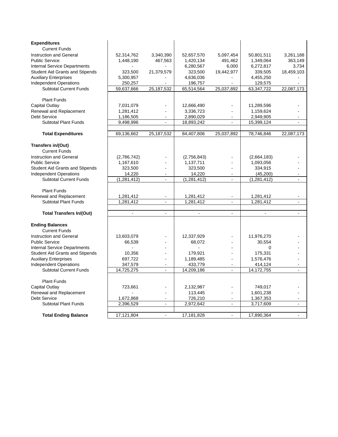| <b>Expenditures</b>                    |               |                          |               |                          |                |                |
|----------------------------------------|---------------|--------------------------|---------------|--------------------------|----------------|----------------|
| <b>Current Funds</b>                   |               |                          |               |                          |                |                |
| Instruction and General                | 52,314,762    | 3,340,390                | 52,657,570    | 5,097,454                | 50,801,511     | 3,261,188      |
| <b>Public Service</b>                  | 1,448,190     | 467,563                  | 1,420,134     | 491,462                  | 1,349,064      | 363,149        |
| <b>Internal Service Departments</b>    | $\sim$        | $\sim$                   | 6,280,567     | 6,000                    | 6,272,817      | 3,734          |
| <b>Student Aid Grants and Stipends</b> | 323.500       | 21,379,579               | 323,500       | 19,442,977               | 339,505        | 18,459,103     |
| <b>Auxiliary Enterprises</b>           | 5,300,957     |                          | 4,636,036     | $\blacksquare$           | 4,455,250      |                |
| <b>Independent Operations</b>          | 250,257       |                          | 196,757       |                          | 129,575        | ä,             |
| <b>Subtotal Current Funds</b>          | 59,637,666    | 25,187,532               | 65,514,564    | 25,037,892               | 63,347,722     | 22,087,173     |
|                                        |               |                          |               |                          |                |                |
| <b>Plant Funds</b>                     |               |                          |               |                          |                |                |
| Capital Outlay                         | 7,031,079     |                          | 12,666,490    |                          | 11,289,596     |                |
| Renewal and Replacement                | 1,281,412     |                          | 3,336,723     |                          | 1,159,624      |                |
| <b>Debt Service</b>                    | 1,186,505     |                          | 2,890,029     |                          | 2,949,905      |                |
| <b>Subtotal Plant Funds</b>            | 9,498,996     | $\overline{a}$           | 18,893,242    | $\overline{\phantom{a}}$ | 15,399,124     | ä,             |
|                                        |               |                          |               |                          |                |                |
| <b>Total Expenditures</b>              | 69,136,662    | 25, 187, 532             | 84,407,806    | 25,037,892               | 78,746,846     | 22,087,173     |
|                                        |               |                          |               |                          |                |                |
| Transfers in/(Out)                     |               |                          |               |                          |                |                |
| <b>Current Funds</b>                   |               |                          |               |                          |                |                |
| Instruction and General                | (2,786,742)   |                          | (2,756,843)   |                          | (2,664,183)    |                |
| <b>Public Service</b>                  | 1,167,610     |                          | 1,137,711     |                          | 1,093,056      |                |
| <b>Student Aid Grants and Stipends</b> | 323,500       |                          | 323,500       | $\overline{\phantom{a}}$ | 334,915        |                |
| <b>Independent Operations</b>          | 14,220        |                          | 14,220        |                          | (45, 200)      |                |
| <b>Subtotal Current Funds</b>          | (1, 281, 412) | $\mathbf{r}$             | (1, 281, 412) | $\overline{a}$           | (1,281,412)    | $\overline{a}$ |
|                                        |               |                          |               |                          |                |                |
| <b>Plant Funds</b>                     |               |                          |               |                          |                |                |
| Renewal and Replacement                | 1,281,412     |                          | 1,281,412     |                          | 1,281,412      |                |
| <b>Subtotal Plant Funds</b>            | 1,281,412     | $\mathbf{r}$             | 1,281,412     | $\overline{a}$           | 1,281,412      | $\overline{a}$ |
|                                        |               |                          |               |                          |                |                |
| <b>Total Transfers In/(Out)</b>        | $\sim$        | $\sim$                   | $\sim$        | $\blacksquare$           | $\blacksquare$ | $\blacksquare$ |
|                                        |               |                          |               |                          |                |                |
| <b>Ending Balances</b>                 |               |                          |               |                          |                |                |
| <b>Current Funds</b>                   |               |                          |               |                          |                |                |
| Instruction and General                | 13,603,079    |                          | 12,337,929    |                          | 11,976,270     |                |
| <b>Public Service</b>                  | 66,539        |                          | 68,072        |                          | 30,554         |                |
| <b>Internal Service Departments</b>    |               |                          |               |                          | $\Omega$       |                |
| <b>Student Aid Grants and Stipends</b> | 10,356        |                          | 179,921       |                          | 175,331        |                |
| <b>Auxiliary Enterprises</b>           | 697,722       | ÷,                       | 1,189,485     | ÷,                       | 1,576,476      |                |
| <b>Independent Operations</b>          | 347,579       | $\blacksquare$           | 433,779       | $\overline{a}$           | 414,124        |                |
| <b>Subtotal Current Funds</b>          | 14,725,275    | $\blacksquare$           | 14,209,186    | $\blacksquare$           | 14,172,755     | $\blacksquare$ |
|                                        |               |                          |               |                          |                |                |
| <b>Plant Funds</b>                     |               |                          |               |                          |                |                |
| Capital Outlay                         | 723,661       |                          | 2,132,987     |                          | 749,017        |                |
| Renewal and Replacement                |               | $\overline{\phantom{a}}$ | 113,445       | $\blacksquare$           | 1,601,238      |                |
| Debt Service                           | 1,672,868     |                          | 726,210       |                          | 1,367,353      |                |
| <b>Subtotal Plant Funds</b>            | 2,396,529     | $\blacksquare$           | 2,972,642     | $\blacksquare$           | 3,717,609      | $\blacksquare$ |
|                                        |               |                          |               |                          |                |                |
| <b>Total Ending Balance</b>            | 17,121,804    | $\blacksquare$           | 17,181,828    | $\blacksquare$           | 17,890,364     | $\blacksquare$ |
|                                        |               |                          |               |                          |                |                |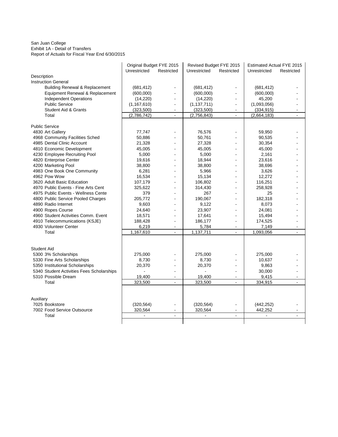San Juan College Exhibit 1A - Detail of Transfers Report of Actuals for Fiscal Year End 6/30/2015

|                                           | Original Budget FYE 2015 |                          | Revised Budget FYE 2015 |                          | <b>Estimated Actual FYE 2015</b> |                             |
|-------------------------------------------|--------------------------|--------------------------|-------------------------|--------------------------|----------------------------------|-----------------------------|
|                                           | Unrestricted             | Restricted               | Unrestricted            | Restricted               | Unrestricted                     | Restricted                  |
| Description                               |                          |                          |                         |                          |                                  |                             |
| <b>Instruction General</b>                |                          |                          |                         |                          |                                  |                             |
| <b>Building Renewal &amp; Replacement</b> | (681, 412)               |                          | (681, 412)              |                          | (681, 412)                       |                             |
| Equipment Renewal & Replacement           | (600,000)                | L.                       | (600,000)               | $\overline{\phantom{a}}$ | (600,000)                        |                             |
| <b>Independent Operations</b>             | (14, 220)                |                          | (14, 220)               |                          | 45,200                           |                             |
| <b>Public Service</b>                     | (1, 167, 610)            | ä,                       | (1, 137, 711)           | $\overline{\phantom{a}}$ | (1,093,056)                      |                             |
| <b>Student Aid &amp; Grants</b>           | (323, 500)               | $\overline{a}$           | (323, 500)              | $\overline{a}$           | (334, 915)                       |                             |
| Total                                     | (2,786,742)              | $\mathbf{r}$             | (2,756,843)             | $\mathbf{r}$             | (2,664,183)                      |                             |
|                                           |                          |                          |                         |                          |                                  |                             |
| <b>Public Service</b>                     |                          |                          |                         |                          |                                  |                             |
| 4830 Art Gallery                          | 77,747                   |                          | 76,576                  | $\overline{\phantom{a}}$ | 59,950                           |                             |
| 4968 Community Facilities Sched           | 50,886                   |                          | 50,761                  | $\overline{a}$           | 90,535                           |                             |
| 4985 Dental Clinic Account                | 21,328                   |                          | 27,328                  | $\overline{\phantom{a}}$ | 30,354                           |                             |
| 4810 Economic Development                 | 45,005                   | $\overline{a}$           | 45,005                  | $\overline{\phantom{a}}$ | 45,000                           |                             |
| 4230 Employee Recruiting Pool             | 5,000                    |                          | 5,000                   |                          | 2,161                            |                             |
| 4820 Enterprise Center                    | 19,616                   | L.                       | 18,944                  | $\blacksquare$           | 23,616                           |                             |
| 4200 Marketing Pool                       | 38,800                   |                          | 38,800                  | $\overline{a}$           | 38,696                           |                             |
| 4983 One Book One Community               | 6,281                    |                          | 5,966                   |                          | 3,626                            |                             |
| 4962 Pow Wow                              | 16,534                   |                          | 15,134                  | $\overline{a}$           | 12,272                           |                             |
| 3620 Adult Basic Education                | 107,179                  |                          | 106,802                 | $\blacksquare$           | 116,251                          |                             |
| 4970 Public Events - Fine Arts Cent       | 325,622                  |                          | 314,430                 | $\blacksquare$           | 258,928                          |                             |
| 4975 Public Events - Wellness Cente       | 379                      |                          | 267                     |                          | 25                               |                             |
| 4800 Public Service Pooled Charges        | 205,772                  |                          | 190,067                 |                          | 182,318                          |                             |
| 4890 Radio Internet                       | 9,603                    | $\overline{a}$           | 9,122                   | $\overline{a}$           | 8,073                            |                             |
| 4900 Ropes Course                         | 24,640                   | L.                       | 23,907                  | $\overline{\phantom{a}}$ | 24,081                           |                             |
| 4960 Student Activities Comm. Event       | 18,571                   |                          | 17,641                  |                          | 15,494                           |                             |
| 4910 Telecommunications (KSJE)            | 188,428                  | $\overline{a}$           | 186,177                 | $\overline{\phantom{a}}$ | 174,525                          |                             |
| 4930 Volunteer Center                     | 6,219                    | $\blacksquare$           | 5,784                   | $\blacksquare$           | 7,149                            |                             |
| Total                                     | 1,167,610                | $\mathbf{r}$             | 1,137,711               | $\sim$                   | 1,093,056                        | $\blacksquare$              |
|                                           |                          |                          |                         |                          |                                  |                             |
|                                           |                          |                          |                         |                          |                                  |                             |
| <b>Student Aid</b>                        |                          |                          |                         |                          |                                  |                             |
| 5300 3% Scholarships                      | 275,000                  |                          | 275,000                 |                          | 275,000                          |                             |
| 5330 Fine Arts Scholarships               | 8,730                    | $\overline{a}$           | 8,730                   | L,                       | 10.637                           |                             |
| 5350 Institutional Scholarships           | 20,370                   |                          | 20,370                  | $\overline{\phantom{a}}$ | 9,863                            |                             |
| 5340 Student Activities Fees Scholarships |                          | L,                       |                         | $\blacksquare$           | 30,000                           |                             |
| 5310 Possible Dream                       | 19,400                   | $\overline{a}$           | 19,400                  | $\blacksquare$           | 9,415                            |                             |
| Total                                     | 323,500                  | $\mathbb{Z}^2$           | 323,500                 | $\mathbf{r}$             | 334.915                          | $\mathcal{L}^{\mathcal{A}}$ |
|                                           |                          |                          |                         |                          |                                  |                             |
|                                           |                          |                          |                         |                          |                                  |                             |
| Auxiliary                                 |                          |                          |                         |                          |                                  |                             |
| 7025 Bookstore                            | (320, 564)               |                          | (320, 564)              | $\overline{\phantom{a}}$ | (442, 252)                       |                             |
| 7002 Food Service Outsource               | 320,564                  | $\overline{\phantom{a}}$ | 320,564                 | $\blacksquare$           | 442,252                          |                             |
| Total                                     | $\blacksquare$           |                          | $\blacksquare$          |                          | $\blacksquare$                   |                             |
|                                           |                          |                          |                         |                          |                                  |                             |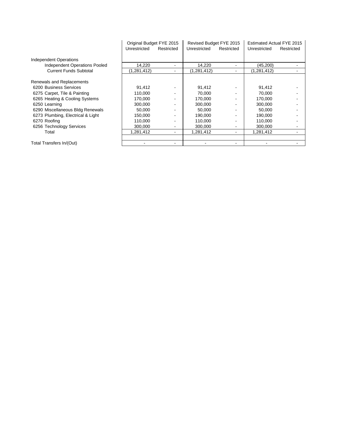|                                      | Original Budget FYE 2015 |                |              | Revised Budget FYE 2015 |               | Estimated Actual FYE 2015 |  |
|--------------------------------------|--------------------------|----------------|--------------|-------------------------|---------------|---------------------------|--|
|                                      | Unrestricted             | Restricted     | Unrestricted | Restricted              | Unrestricted  | Restricted                |  |
| Independent Operations               |                          |                |              |                         |               |                           |  |
| <b>Independent Operations Pooled</b> | 14,220                   |                | 14,220       | ۰                       | (45,200)      |                           |  |
| <b>Current Funds Subtotal</b>        | (1,281,412)              |                | (1,281,412)  | ۰                       | (1, 281, 412) |                           |  |
| Renewals and Replacements            |                          |                |              |                         |               |                           |  |
| 6200 Business Services               | 91.412                   |                | 91,412       |                         | 91,412        |                           |  |
| 6275 Carpet, Tile & Painting         | 110,000                  | $\blacksquare$ | 70,000       | ۰.                      | 70,000        |                           |  |
| 6265 Heating & Cooling Systems       | 170,000                  |                | 170,000      |                         | 170,000       |                           |  |
| 6250 Learning                        | 300,000                  | $\blacksquare$ | 300,000      |                         | 300,000       |                           |  |
| 6290 Miscellaneous Bldg Renewals     | 50,000                   | $\blacksquare$ | 50,000       |                         | 50,000        |                           |  |
| 6273 Plumbing, Electrical & Light    | 150,000                  | $\blacksquare$ | 190,000      |                         | 190,000       |                           |  |
| 6270 Roofing                         | 110.000                  | $\blacksquare$ | 110,000      |                         | 110,000       |                           |  |
| 6256 Technology Services             | 300,000                  | $\blacksquare$ | 300,000      | ۰.                      | 300,000       |                           |  |
| Total                                | 1,281,412                | ۰              | 1,281,412    | ۰.                      | 1,281,412     |                           |  |
|                                      |                          |                |              |                         |               |                           |  |
| Total Transfers In/(Out)             |                          |                |              |                         |               |                           |  |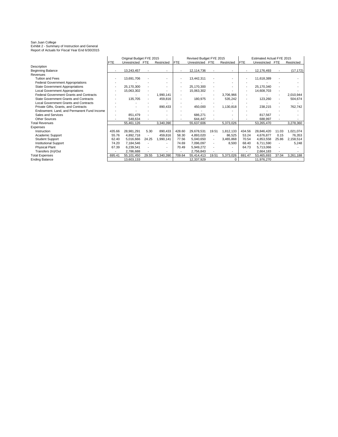San Juan College Exhibit 2 - Summary of Instruction and General Report of Actuals for Fiscal Year End 6/30/2015

|                                                |            | Original Budget FYE 2015 |                          |            | Revised Budget FYE 2015  |                  |                          | Estimated Actual FYE 2015 |            |              |            |            |
|------------------------------------------------|------------|--------------------------|--------------------------|------------|--------------------------|------------------|--------------------------|---------------------------|------------|--------------|------------|------------|
|                                                | <b>FTE</b> | Unrestricted FTE         |                          | Restricted | <b>FTE</b>               | Unrestricted FTE |                          | Restricted                | <b>FTE</b> | Unrestricted | <b>FTE</b> | Restricted |
| Description                                    |            |                          |                          |            |                          |                  |                          |                           |            |              |            |            |
| <b>Beginning Balance</b>                       |            | 13,243,457               |                          |            |                          | 12,114,736       |                          |                           |            | 12,176,493   |            | (17, 172)  |
| Revenues                                       |            |                          |                          |            |                          |                  |                          |                           |            |              |            |            |
| <b>Tuition and Fees</b>                        |            | 13,691,706               |                          |            |                          | 13,442,311       |                          |                           |            | 11,618,389   |            |            |
| <b>Federal Government Appropriations</b>       |            |                          |                          |            |                          |                  |                          |                           |            |              |            |            |
| <b>State Government Appropriations</b>         |            | 25,170,300               |                          |            | $\overline{\phantom{a}}$ | 25,170,300       |                          |                           |            | 25,170,340   |            |            |
| <b>Local Government Appropriations</b>         |            | 15,063,302               |                          |            |                          | 15,063,302       |                          |                           |            | 14,608,703   |            |            |
| <b>Federal Government Grants and Contracts</b> |            |                          |                          | 1,990,141  |                          |                  |                          | 3,706,966                 |            |              |            | 2,010,944  |
| State Government Grants and Contracts          |            | 135,705                  |                          | 459,816    |                          | 180,975          |                          | 535,242                   |            | 123,260      |            | 504,674    |
| <b>Local Government Grants and Contracts</b>   |            |                          |                          |            |                          |                  |                          |                           |            |              |            |            |
| Private Gifts, Grants, and Contracts           |            |                          |                          | 890,433    |                          | 450,000          |                          | 1,130,818                 |            | 238,215      |            | 762,742    |
| Endowment. Land, and Permanent Fund Income     |            |                          |                          |            |                          |                  |                          |                           |            |              |            |            |
| Sales and Services                             |            | 851,479                  |                          |            |                          | 686,271          |                          |                           |            | 817,567      |            |            |
| <b>Other Sources</b>                           |            | 548.634                  |                          |            |                          | 644,447          |                          |                           |            | 688.997      |            |            |
| <b>Total Revenues</b>                          |            | 55,461,126               |                          | 3,340,390  |                          | 55,637,606       |                          | 5,373,026                 |            | 53,265,470   |            | 3,278,360  |
| Expenses                                       |            |                          |                          |            |                          |                  |                          |                           |            |              |            |            |
| Instruction                                    | 435.66     | 28,981,291               | 5.30                     | 890,433    | 428.60                   | 29,678,531       | 19.51                    | 1,812,133                 | 434.56     | 28,846,420   | 11.03      | 1,021,074  |
| Academic Support                               | 55.76      | 4,892,718                | $\overline{\phantom{a}}$ | 459,816    | 58.30                    | 4,893,020        |                          | 86,525                    | 53.24      | 4,676,877    | 0.15       | 76,353     |
| <b>Student Support</b>                         | 62.40      | 5,016,666                | 24.25                    | 1,990,141  | 77.56                    | 5,040,650        | $\overline{\phantom{a}}$ | 3,465,868                 | 70.54      | 4,853,558    | 25.86      | 2,158,514  |
| <b>Institutional Support</b>                   | 74.20      | 7,184,546                |                          |            | 74.69                    | 7,096,097        | $\overline{\phantom{a}}$ | 8,500                     | 68.40      | 6,711,590    |            | 5,248      |
| <b>Physical Plant</b>                          | 67.39      | 6,239,541                |                          |            | 70.49                    | 5,949,272        |                          |                           | 64.73      | 5,713,066    |            |            |
| Transfers (In)/Out                             |            | 2,786,688                |                          |            |                          | 2,756,843        |                          |                           |            | 2,664,183    |            |            |
| <b>Total Expenses</b>                          | 695.41     | 55,101,450               | 29.55                    | 3,340,390  | 709.64                   | 55,414,413       | 19.51                    | 5,373,026                 | 691.47     | 53,465,693   | 37.04      | 3,261,188  |
| <b>Ending Balance</b>                          |            | 13,603,133               |                          |            |                          | 12,337,929       |                          | 0                         |            | 11,976,270   |            |            |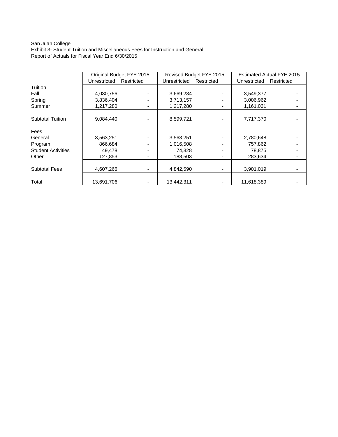#### San Juan College Exhibit 3- Student Tuition and Miscellaneous Fees for Instruction and General Report of Actuals for Fiscal Year End 6/30/2015

|                           |              | Original Budget FYE 2015 |              | Revised Budget FYE 2015 |              | Estimated Actual FYE 2015 |  |
|---------------------------|--------------|--------------------------|--------------|-------------------------|--------------|---------------------------|--|
|                           | Unrestricted | Restricted               | Unrestricted | Restricted              | Unrestricted | Restricted                |  |
| Tuition                   |              |                          |              |                         |              |                           |  |
| Fall                      | 4,030,756    |                          | 3,669,284    |                         | 3,549,377    |                           |  |
| Spring                    | 3,836,404    |                          | 3,713,157    |                         | 3,006,962    |                           |  |
| Summer                    | 1,217,280    |                          | 1,217,280    |                         | 1,161,031    |                           |  |
| <b>Subtotal Tuition</b>   | 9,084,440    |                          | 8,599,721    |                         | 7,717,370    |                           |  |
| Fees                      |              |                          |              |                         |              |                           |  |
| General                   | 3,563,251    |                          | 3,563,251    |                         | 2,780,648    |                           |  |
| Program                   | 866.684      |                          | 1,016,508    |                         | 757,862      |                           |  |
| <b>Student Activities</b> | 49,478       |                          | 74,328       |                         | 78,875       |                           |  |
| Other                     | 127,853      | ۰.                       | 188,503      |                         | 283,634      |                           |  |
| <b>Subtotal Fees</b>      | 4,607,266    |                          | 4,842,590    |                         | 3,901,019    |                           |  |
| Total                     | 13,691,706   |                          | 13,442,311   |                         | 11,618,389   |                           |  |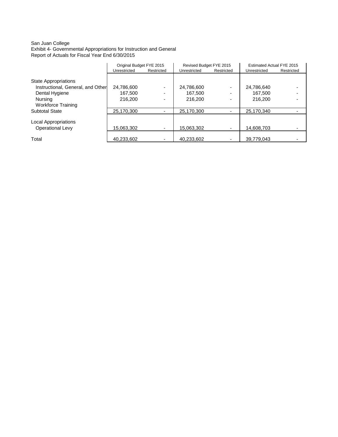#### San Juan College Exhibit 4- Governmental Appropriations for Instruction and General Report of Actuals for Fiscal Year End 6/30/2015

|                                   | Original Budget FYE 2015 |            | Revised Budget FYE 2015 |                          | Estimated Actual FYE 2015 |            |
|-----------------------------------|--------------------------|------------|-------------------------|--------------------------|---------------------------|------------|
|                                   | Unrestricted             | Restricted | Unrestricted            | Restricted               | Unrestricted              | Restricted |
|                                   |                          |            |                         |                          |                           |            |
| State Appropriations              |                          |            |                         |                          |                           |            |
| Instructional, General, and Other | 24,786,600               | ٠          | 24,786,600              | ٠                        | 24,786,640                |            |
| Dental Hygiene                    | 167.500                  | ۰.         | 167.500                 | ٠                        | 167.500                   |            |
| Nursing                           | 216,200                  | ٠          | 216,200                 | $\overline{\phantom{0}}$ | 216,200                   |            |
| <b>Workforce Training</b>         |                          |            |                         |                          |                           |            |
| <b>Subtotal State</b>             | 25,170,300               | ۰.         | 25,170,300              |                          | 25,170,340                |            |
|                                   |                          |            |                         |                          |                           |            |
| Local Appropriations              |                          |            |                         |                          |                           |            |
| <b>Operational Levy</b>           | 15,063,302               | ٠          | 15,063,302              | ٠                        | 14,608,703                |            |
|                                   |                          |            |                         |                          |                           |            |
| Total                             | 40,233,602               | ۰.         | 40,233,602              |                          | 39,779,043                |            |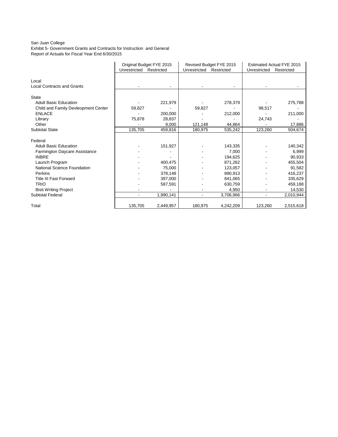#### San Juan College

Exhibit 5- Government Grants and Contracts for Instruction and General Report of Actuals for Fiscal Year End 6/30/2015

|                                            | Original Budget FYE 2015 |            |              | Revised Budget FYE 2015 | Estimated Actual FYE 2015 |            |  |
|--------------------------------------------|--------------------------|------------|--------------|-------------------------|---------------------------|------------|--|
|                                            | Unrestricted             | Restricted | Unrestricted | Restricted              | Unrestricted              | Restricted |  |
| Local<br><b>Local Contracts and Grants</b> |                          |            |              |                         |                           |            |  |
|                                            |                          |            |              |                         |                           |            |  |
| <b>State</b>                               |                          |            |              |                         |                           |            |  |
| <b>Adult Basic Education</b>               |                          | 221,979    |              | 278,379                 |                           | 275,788    |  |
| Child and Family Devleopment Center        | 59,827                   |            | 59,827       |                         | 98,517                    |            |  |
| <b>ENLACE</b>                              |                          | 200,000    |              | 212,000                 |                           | 211,000    |  |
| Library                                    | 75,878                   | 28,837     |              |                         | 24,743                    |            |  |
| Other                                      |                          | 9,000      | 121,148      | 44,864                  |                           | 17,886     |  |
| <b>Subtotal State</b>                      | 135,705                  | 459,816    | 180,975      | 535,242                 | 123,260                   | 504,674    |  |
| Federal                                    |                          |            |              |                         |                           |            |  |
| <b>Adult Basic Education</b>               |                          | 151,927    |              | 143,335                 |                           | 140,342    |  |
| Farmington Daycare Assistance              |                          |            |              | 7,000                   |                           | 6,999      |  |
| <b>INBRE</b>                               |                          |            |              | 194,625                 |                           | 90,933     |  |
| Launch Program                             |                          | 400,475    |              | 871,262                 |                           | 455,504    |  |
| National Science Foundation                |                          | 75,000     |              | 123,057                 |                           | 91,582     |  |
| Perkins                                    |                          | 378,148    |              | 890,913                 |                           | 416,237    |  |
| <b>Title III Fast Forward</b>              |                          | 397,000    |              | 841,065                 |                           | 335,629    |  |
| <b>TRIO</b>                                |                          | 587,591    |              | 630,759                 |                           | 459,188    |  |
| <b>Bisti Writing Project</b>               |                          |            |              | 4,950                   |                           | 14,530     |  |
| <b>Subtotal Federal</b>                    |                          | 1,990,141  |              | 3,706,966               |                           | 2,010,944  |  |
| Total                                      | 135,705                  | 2,449,957  | 180,975      | 4,242,209               | 123,260                   | 2,515,618  |  |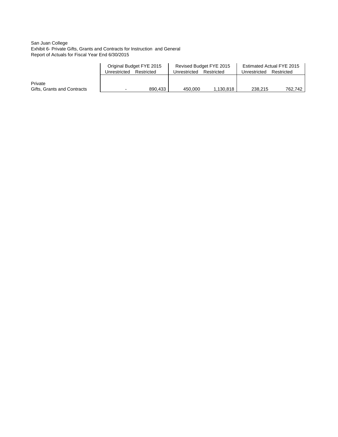#### San Juan College Exhibit 6- Private Gifts, Grants and Contracts for Instruction and General Report of Actuals for Fiscal Year End 6/30/2015

|                             | Original Budget FYE 2015 |            |              | Revised Budget FYE 2015 | Estimated Actual FYE 2015 |            |  |
|-----------------------------|--------------------------|------------|--------------|-------------------------|---------------------------|------------|--|
|                             | Unrestricted             | Restricted | Unrestricted | Restricted              | Unrestricted              | Restricted |  |
|                             |                          |            |              |                         |                           |            |  |
| Private                     |                          |            |              |                         |                           |            |  |
| Gifts, Grants and Contracts | $\overline{\phantom{0}}$ | 890.433    | 450.000      | 1.130.818               | 238.215                   | 762.742    |  |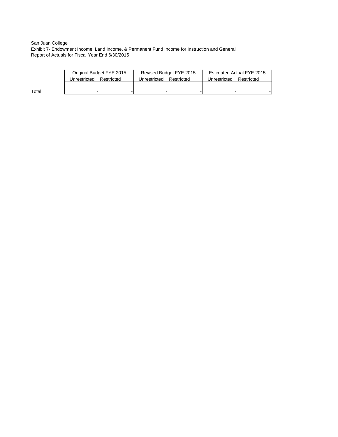San Juan College Exhibit 7- Endowment Income, Land Income, & Permanent Fund Income for Instruction and General Report of Actuals for Fiscal Year End 6/30/2015

|       | Original Budget FYE 2015   | Revised Budget FYE 2015    | Estimated Actual FYE 2015  |  |  |
|-------|----------------------------|----------------------------|----------------------------|--|--|
|       | Unrestricted<br>Restricted | Unrestricted<br>Restricted | Unrestricted<br>Restricted |  |  |
|       |                            |                            |                            |  |  |
| Total | $\overline{\phantom{0}}$   |                            |                            |  |  |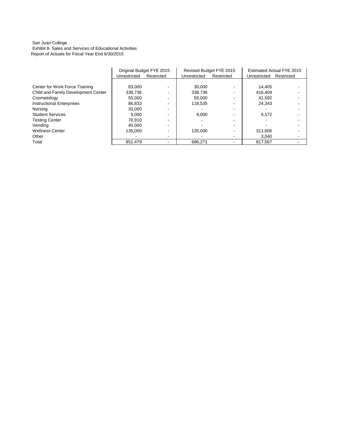#### San Juan College Exhibit 8- Sales and Services of Educational Activities Report of Actuals for Fiscal Year End 6/30/2015

|                                     |              | Original Budget FYE 2015 | Revised Budget FYE 2015 |            | <b>Estimated Actual FYE 2015</b> |            |
|-------------------------------------|--------------|--------------------------|-------------------------|------------|----------------------------------|------------|
|                                     | Unrestricted | Restricted               | Unrestricted            | Restricted | Unrestricted                     | Restricted |
|                                     |              |                          |                         |            |                                  |            |
| Center for Work Force Training      | 83.000       |                          | 30,000                  |            | 14.405                           |            |
| Child and Family Development Center | 338.736      |                          | 338.736                 |            | 416.409                          |            |
| Cosmetology                         | 55.000       |                          | 55,000                  |            | 41.592                           |            |
| <b>Instructional Enterprises</b>    | 86.833       |                          | 118.535                 |            | 24.343                           |            |
| Nursing                             | 33.000       |                          |                         |            |                                  |            |
| <b>Student Services</b>             | 9.000        |                          | 9,000                   |            | 6,172                            |            |
| <b>Testing Center</b>               | 70.910       |                          |                         |            |                                  |            |
| Vending                             | 40.000       |                          |                         |            |                                  |            |
| <b>Wellness Center</b>              | 135.000      |                          | 135.000                 |            | 311.606                          |            |
| Other                               |              |                          |                         |            | 3.040                            |            |
| Total                               | 851.479      |                          | 686.271                 |            | 817.567                          |            |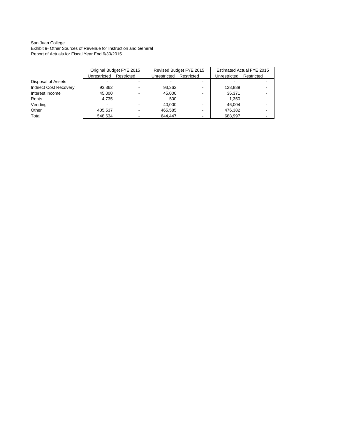#### San Juan College Exhibit 9- Other Sources of Revenue for Instruction and General Report of Actuals for Fiscal Year End 6/30/2015

|                               | Unrestricted | Original Budget FYE 2015<br>Restricted | Unrestricted | Revised Budget FYE 2015<br>Restricted | <b>Estimated Actual FYE 2015</b><br>Unrestricted<br>Restricted |  |
|-------------------------------|--------------|----------------------------------------|--------------|---------------------------------------|----------------------------------------------------------------|--|
| Disposal of Assets            |              |                                        |              |                                       |                                                                |  |
| <b>Indirect Cost Recovery</b> | 93,362       |                                        | 93,362       |                                       | 128.889                                                        |  |
| Interest Income               | 45.000       |                                        | 45.000       |                                       | 36.371                                                         |  |
| Rents                         | 4.735        |                                        | 500          |                                       | 1.350                                                          |  |
| Vending                       |              |                                        | 40.000       |                                       | 46.004                                                         |  |
| Other                         | 405,537      | $\overline{\phantom{a}}$               | 465,585      |                                       | 476,382                                                        |  |
| Total                         | 548,634      |                                        | 644.447      |                                       | 688.997                                                        |  |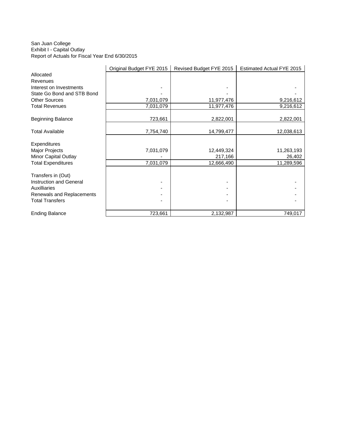#### San Juan College Exhibit I - Capital Outlay Report of Actuals for Fiscal Year End 6/30/2015

|                            | Original Budget FYE 2015 | Revised Budget FYE 2015 | Estimated Actual FYE 2015 |
|----------------------------|--------------------------|-------------------------|---------------------------|
| Allocated                  |                          |                         |                           |
| <b>Revenues</b>            |                          |                         |                           |
| Interest on Investments    |                          |                         |                           |
| State Go Bond and STB Bond |                          |                         |                           |
| <b>Other Sources</b>       | 7,031,079                | 11,977,476              | 9,216,612                 |
| <b>Total Revenues</b>      | 7,031,079                | 11,977,476              | 9,216,612                 |
|                            |                          |                         |                           |
| <b>Beginning Balance</b>   | 723,661                  | 2,822,001               | 2,822,001                 |
|                            |                          |                         |                           |
| <b>Total Available</b>     | 7,754,740                | 14,799,477              | 12,038,613                |
|                            |                          |                         |                           |
| <b>Expenditures</b>        |                          |                         |                           |
| Major Projects             | 7,031,079                | 12,449,324              | 11,263,193                |
| Minor Capital Outlay       |                          | 217,166                 | 26,402                    |
| <b>Total Expenditures</b>  | 7,031,079                | 12,666,490              | 11,289,596                |
|                            |                          |                         |                           |
| Transfers in (Out)         |                          |                         |                           |
| Instruction and General    |                          |                         |                           |
| <b>Auxilliaries</b>        |                          |                         |                           |
| Renewals and Replacements  |                          |                         |                           |
| <b>Total Transfers</b>     |                          |                         |                           |
| <b>Ending Balance</b>      | 723,661                  | 2,132,987               | 749,017                   |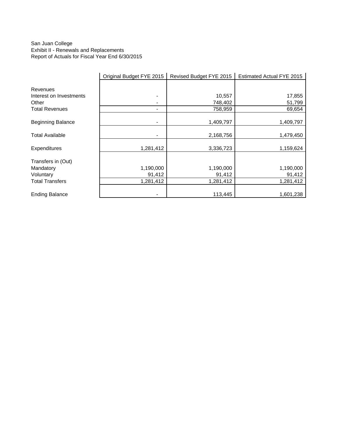### San Juan College Exhibit II - Renewals and Replacements Report of Actuals for Fiscal Year End 6/30/2015

|                          | Original Budget FYE 2015 | Revised Budget FYE 2015 | Estimated Actual FYE 2015 |
|--------------------------|--------------------------|-------------------------|---------------------------|
| Revenues                 |                          |                         |                           |
| Interest on Investments  | -                        | 10,557                  | 17,855                    |
| Other                    | -                        | 748,402                 | 51,799                    |
| <b>Total Revenues</b>    | -                        | 758,959                 | 69,654                    |
| <b>Beginning Balance</b> |                          | 1,409,797               | 1,409,797                 |
|                          |                          |                         |                           |
| <b>Total Available</b>   |                          | 2,168,756               | 1,479,450                 |
| Expenditures             | 1,281,412                | 3,336,723               | 1,159,624                 |
| Transfers in (Out)       |                          |                         |                           |
| Mandatory                | 1,190,000                | 1,190,000               | 1,190,000                 |
| Voluntary                | 91,412                   | 91,412                  | 91,412                    |
| <b>Total Transfers</b>   | 1,281,412                | 1,281,412               | 1,281,412                 |
| <b>Ending Balance</b>    |                          | 113,445                 | 1,601,238                 |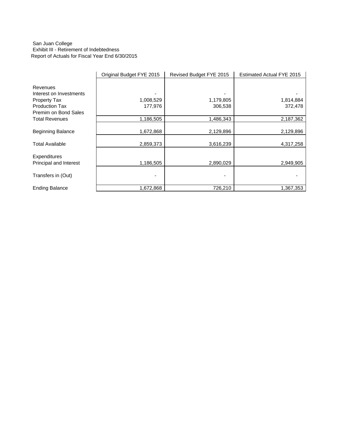#### San Juan College Exhibit III - Retirement of Indebtedness Report of Actuals for Fiscal Year End 6/30/2015

|                          | Original Budget FYE 2015 | Revised Budget FYE 2015 | <b>Estimated Actual FYE 2015</b> |
|--------------------------|--------------------------|-------------------------|----------------------------------|
|                          |                          |                         |                                  |
| Revenues                 |                          |                         |                                  |
| Interest on Investments  |                          |                         |                                  |
| Property Tax             | 1,008,529                | 1,179,805               | 1,814,884                        |
| <b>Production Tax</b>    | 177,976                  | 306,538                 | 372,478                          |
| Premim on Bond Sales     |                          |                         |                                  |
| <b>Total Revenues</b>    | 1,186,505                | 1,486,343               | 2,187,362                        |
| <b>Beginning Balance</b> | 1,672,868                | 2,129,896               | 2,129,896                        |
| <b>Total Available</b>   | 2,859,373                | 3,616,239               | 4,317,258                        |
| Expenditures             |                          |                         |                                  |
| Principal and Interest   | 1,186,505                | 2,890,029               | 2,949,905                        |
| Transfers in (Out)       |                          |                         |                                  |
| <b>Ending Balance</b>    | 1,672,868                | 726,210                 | 1,367,353                        |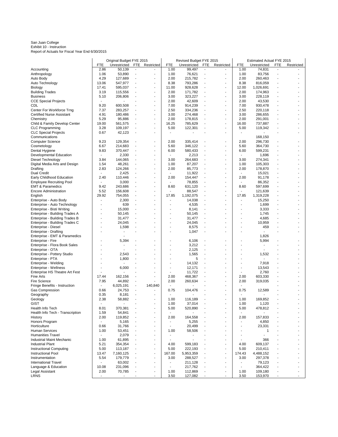San Juan College Exhibit 10 - Instruction Report of Actuals for Fiscal Year End 6/30/2015

|                                                              |                                  | Original Budget FYE 2015 |                          |                                            |                          | Revised Budget FYE 2015 |                          |                                            |                          | Estimated Actual FYE 2015 |                |            |
|--------------------------------------------------------------|----------------------------------|--------------------------|--------------------------|--------------------------------------------|--------------------------|-------------------------|--------------------------|--------------------------------------------|--------------------------|---------------------------|----------------|------------|
|                                                              | FTE                              | Unrestricted             | <b>FTE</b>               | Restricted                                 | <b>FTE</b>               | Unrestricted            | <b>FTE</b>               | Restricted                                 | FTE                      | Unrestricted              | <b>FTE</b>     | Restricted |
| Accounting                                                   | 2.86                             | 50,139                   | $\overline{\phantom{a}}$ |                                            | 1.00                     | 99,497                  | $\overline{\phantom{a}}$ | $\overline{\phantom{a}}$                   | 1.00                     | 74,831                    | $\blacksquare$ |            |
| Anthropology                                                 | 1.06                             | 53,890                   | $\overline{\phantom{a}}$ |                                            | 1.00                     | 76,621                  | $\overline{a}$           | $\overline{\phantom{a}}$                   | 1.00                     | 83,756                    | $\overline{a}$ |            |
| Auto Body                                                    | 4.29                             | 127,689                  | $\overline{\phantom{a}}$ | $\blacksquare$                             | 2.00                     | 215,782                 | ÷,                       | $\blacksquare$                             | 2.00                     | 260,463                   | Ĭ.<br>÷.       |            |
| Auto Technology                                              | 13.06<br>17.41                   | 547,977<br>595,037       | $\overline{a}$           | $\blacksquare$<br>$\overline{\phantom{a}}$ | 8.38<br>11.00            | 793,286<br>928,628      | $\overline{a}$           | $\overline{\phantom{a}}$<br>$\overline{a}$ | 8.38<br>12.00            | 816,059<br>1,026,691      |                |            |
| Biology<br><b>Building Trades</b>                            | 3.19                             | 115,556                  |                          |                                            | 2.00                     | 171,782                 | $\overline{\phantom{a}}$ | $\overline{a}$                             | 2.00                     | 174,963                   | ٠              |            |
| <b>Business</b>                                              | 5.10                             | 206,806                  |                          |                                            | 3.00                     | 323,227                 | ÷,                       | $\overline{\phantom{a}}$                   | 3.00                     | 228,119                   |                |            |
| <b>CCE Special Projects</b>                                  | $\blacksquare$                   |                          |                          | $\blacksquare$                             | 2.00                     | 42,609                  |                          | $\overline{a}$                             | 2.00                     | 43,530                    |                |            |
| CDL                                                          | 9.20                             | 600,508                  |                          |                                            | 7.00                     | 914,239                 | $\overline{a}$           | ٠                                          | 7.00                     | 930,478                   |                |            |
| Center For Workforce Trng                                    | 7.37                             | 283,257                  |                          | $\overline{a}$                             | 2.50                     | 334,236                 | ÷,                       | $\overline{\phantom{a}}$                   | 2.50                     | 220,118                   |                |            |
| Certified Nurse Assistant                                    | 4.91                             | 180,486                  |                          |                                            | 3.00                     | 274,468                 |                          | $\overline{a}$                             | 3.00                     | 286,655                   |                |            |
| Chemistry                                                    | 5.29                             | 95,886                   | $\overline{\phantom{a}}$ | $\blacksquare$                             | 2.00                     | 178,815                 | $\overline{a}$           | ÷,                                         | 2.00                     | 291,001                   |                |            |
| Child & Family Develop Center                                | 19.00                            | 561,575                  | $\overline{\phantom{a}}$ | $\sim$                                     | 16.25                    | 785,629                 | ÷,                       | $\blacksquare$                             | 16.00                    | 737,887                   |                |            |
| <b>CLC Programming</b>                                       | 3.28                             | 109,197                  |                          |                                            | 5.00                     | 122,301                 |                          | $\overline{a}$                             | 5.00                     | 119,342                   |                |            |
| <b>CLC Special Projects</b>                                  | 0.67                             | 42,123                   |                          |                                            | $\overline{a}$           |                         |                          | $\overline{a}$                             | $\blacksquare$           |                           |                |            |
| Communications                                               |                                  |                          |                          |                                            |                          |                         |                          |                                            |                          | 168,150                   |                |            |
| <b>Computer Science</b>                                      | 9.23<br>6.67                     | 129,354<br>214,683       |                          |                                            | 2.00<br>5.60             | 335,414<br>346,122      |                          | $\overline{\phantom{a}}$<br>$\overline{a}$ | 2.00<br>5.60             | 296,730                   |                |            |
| Cosmetology<br>Dental Hygiene                                | 9.83                             | 370,447                  |                          | $\blacksquare$                             | 6.00                     | 580,433                 |                          | $\overline{\phantom{a}}$                   | 6.00                     | 364,730<br>599,231        |                |            |
| Developmental Education                                      | $\overline{\phantom{a}}$         | 2,330                    | $\overline{a}$           |                                            |                          | 2,213                   | $\overline{a}$           |                                            | $\overline{\phantom{a}}$ | 1,696                     |                |            |
| Diesel Technology                                            | 3.84                             | 144,065                  | ÷,                       |                                            | 3.00                     | 264,683                 | L,                       | ÷,                                         | 3.00                     | 274,341                   |                |            |
| Digital Media Arts and Design                                | 1.54                             | 48,261                   |                          | $\overline{a}$                             | 1.00                     | 87,207                  |                          | $\overline{\phantom{a}}$                   | 1.00                     | 105,303                   |                |            |
| Drafting                                                     | 2.83                             | 124,266                  | $\overline{a}$           | $\overline{\phantom{a}}$                   | 2.00                     | 85,773                  | $\overline{a}$           | $\overline{a}$                             | 2.00                     | 178,870                   |                |            |
| <b>Dual Credit</b>                                           | $\overline{\phantom{a}}$         | 2,425                    |                          |                                            |                          | 11,922                  | $\overline{a}$           | $\overline{\phantom{a}}$                   | $\overline{\phantom{a}}$ | 15,021                    |                |            |
| Early Childhood Education                                    | 2.40                             | 110,446                  |                          |                                            | 2.00                     | 154,447                 |                          | $\overline{a}$                             | 2.00                     | 91,178                    |                |            |
| <b>Employee Recruiting Pool</b>                              | $\overline{\phantom{a}}$         | 3,000                    | $\overline{\phantom{a}}$ | $\overline{\phantom{a}}$                   |                          | 78,855                  | $\overline{a}$           | $\overline{\phantom{a}}$                   |                          | 86,352                    |                |            |
| <b>EMT &amp; Paramedics</b>                                  | 9.42                             | 243,686                  |                          |                                            | 8.60                     | 631,120                 |                          | ٠                                          | 8.60                     | 597,699                   |                |            |
| <b>Encore Administration</b>                                 | 5.52                             | 156,608                  |                          | $\blacksquare$                             |                          | 88,547                  | $\blacksquare$           | $\overline{\phantom{a}}$                   | $\blacksquare$           | 121,639                   |                |            |
| English                                                      | 29.92                            | 754,055                  | $\overline{a}$           |                                            | 17.85                    | 1,192,075               | $\overline{a}$           | $\overline{a}$                             | 17.85                    | 1,319,228                 | ä,             |            |
| Enterprise - Auto Body                                       | ÷,<br>٠                          | 2,300                    | $\overline{\phantom{a}}$ | $\blacksquare$<br>$\overline{a}$           |                          | 14,038                  | $\overline{a}$           | $\overline{\phantom{a}}$<br>$\overline{a}$ | Ĭ.<br>÷                  | 15,250                    | Ĭ.             |            |
| Enterprise - Auto Technology                                 |                                  | 639                      |                          |                                            |                          | 4,535                   | ÷,                       |                                            |                          | 1,699                     |                |            |
| Enterprise - Bisti Writing<br>Enterprise - Building Trades A | Ĭ.                               | 15,000<br>50,145         |                          |                                            |                          | 8,141<br>50,145         |                          | $\overline{\phantom{a}}$                   |                          | 3,333<br>1,745            |                |            |
| Enterprise - Building Trades B                               | ٠                                | 31,477                   | $\overline{\phantom{a}}$ |                                            |                          | 31,477                  | $\overline{a}$           |                                            |                          | 4,685                     |                |            |
| Enterprise - Building Trades C                               |                                  | 24,045                   |                          |                                            |                          | 24,045                  | $\overline{a}$           |                                            | Ĭ.                       | 10,959                    |                |            |
| Enterprise - Diesel                                          |                                  | 1,598                    |                          |                                            |                          | 8,575                   |                          |                                            |                          | 459                       |                |            |
| Enterprise - Drafting                                        |                                  | ٠                        |                          | $\blacksquare$                             |                          | 1,047                   | $\overline{a}$           | $\overline{\phantom{a}}$                   | ٠                        | $\sim$                    |                |            |
| Enterprise - EMT & Paramedics                                |                                  |                          |                          |                                            |                          |                         |                          |                                            |                          | 1,826                     |                |            |
| Enterprise - Fire                                            |                                  | 5,394                    |                          |                                            |                          | 6,106                   |                          |                                            |                          | 5,994                     |                |            |
| Enterprise - Flora Book Sales                                | ÷                                | $\blacksquare$           |                          | $\overline{a}$                             |                          | 3,212                   | $\overline{a}$           | $\overline{\phantom{a}}$                   | ÷                        | $\blacksquare$            |                |            |
| Enterprise - OTA                                             |                                  |                          |                          |                                            |                          | 2,125                   |                          | ä,                                         |                          |                           |                |            |
| Enterprise - Pottery Studio                                  | ٠                                | 2,543                    |                          |                                            |                          | 1,565                   | ÷,                       | $\overline{\phantom{a}}$                   | Ĭ.                       | 1,532                     |                |            |
| Enterprise - PTA                                             |                                  | 1,800                    |                          |                                            |                          | 5                       | $\overline{a}$           | ٠                                          |                          |                           |                |            |
| Enterprise - Welding<br>Enterprise - Wellness                |                                  | 6,000                    |                          |                                            |                          | 14,132<br>12,171        |                          |                                            | -                        | 7,918<br>13,543           |                |            |
| Enterprise HS Theatre Art Fest                               |                                  |                          |                          |                                            |                          | 11,722                  |                          | ä,                                         |                          | 2,760                     |                |            |
| Fine Arts                                                    | 17.44                            | 162,156                  |                          |                                            | 2.00                     | 468,367                 |                          | $\overline{a}$                             | 2.00                     | 603,330                   |                |            |
| Fire Science                                                 | 7.95                             | 44,892                   | $\overline{a}$           |                                            | 2.00                     | 260,634                 | $\overline{a}$           | $\overline{a}$                             | 2.00                     | 319,035                   |                |            |
| Fringe Benefits - Instruction                                | $\overline{\phantom{a}}$         | 6,025,191                | $\overline{\phantom{a}}$ | 140,840                                    |                          |                         |                          | $\overline{a}$                             |                          |                           |                |            |
| Gas Compression                                              | 0.66                             | 24,753                   |                          |                                            | 0.75                     | 104,476                 |                          |                                            | 0.75                     | 12,589                    |                |            |
| Geography                                                    | 0.35                             | 8,181                    | $\blacksquare$           |                                            |                          |                         |                          | ٠                                          |                          |                           |                |            |
| Geology                                                      | 2.38                             | 58,882                   |                          |                                            | 1.00                     | 116,189                 |                          |                                            | 1.00                     | 169,852                   |                |            |
| GIST                                                         | $\blacksquare$                   | $\blacksquare$           |                          |                                            | 1.00                     | 37,014                  |                          |                                            | 1.00                     | 1,120                     |                |            |
| Health Info Tech                                             | 8.01                             | 370,381                  |                          |                                            | 5.00                     | 520,890                 |                          |                                            | 5.00                     | 478,812                   |                |            |
| Health Info Tech - Transcription<br>History                  | 1.59                             | 54,841<br>119,852        |                          |                                            |                          | 164,558                 |                          | ٠                                          | 2.00                     | 157,833                   |                |            |
| Honors Program                                               | 2.00<br>$\overline{\phantom{a}}$ | 5,165                    |                          |                                            | 2.00                     | 5,255                   |                          |                                            |                          | 4,850                     |                |            |
| Horticulture                                                 | 0.66                             | 31,766                   |                          |                                            | $\overline{\phantom{a}}$ | 20,499                  |                          | ٠                                          |                          | 23,331                    |                |            |
| <b>Human Services</b>                                        | 1.00                             | 53,451                   |                          |                                            | 1.00                     | 58,506                  |                          |                                            |                          | 1                         |                |            |
| <b>Humanities Travel</b>                                     | $\overline{\phantom{a}}$         | 2,079                    |                          |                                            |                          |                         |                          | ٠                                          | ٠                        | $\blacksquare$            |                |            |
| <b>Industrial Maint Mechanic</b>                             | 1.00                             | 61,895                   |                          |                                            |                          |                         |                          |                                            |                          | 366                       |                |            |
| <b>Industrial Plant</b>                                      | 5.21                             | 354,354                  |                          |                                            | 4.00                     | 599,183                 |                          | $\overline{a}$                             | 4.00                     | 609,137                   |                |            |
| Instructional Computing                                      | 5.00                             | 113,187                  |                          |                                            | 5.00                     | 222,193                 |                          | $\overline{a}$                             | 5.00                     | 210,411                   |                |            |
| Instructional Pool                                           | 13.47                            | 7,160,125                |                          |                                            | 167.00                   | 5,953,359               |                          | $\overline{a}$                             | 174.43                   | 4,488,152                 |                |            |
| Instrumentation                                              | 5.54                             | 179,779                  |                          |                                            | 3.00                     | 288,527                 |                          | $\overline{a}$                             | 3.00                     | 297,378                   |                |            |
| <b>International Travel</b>                                  | $\overline{\phantom{a}}$         | 63,002                   |                          | $\blacksquare$                             |                          | 211,128                 |                          | ٠                                          | ٠                        | 79,123                    |                |            |
| Language & Education                                         | 10.08                            | 231,096                  |                          |                                            |                          | 217,762                 |                          | $\overline{a}$                             | $\overline{\phantom{0}}$ | 364,422                   |                |            |
| Legal Assistant                                              | 2.00                             | 70,785                   |                          |                                            | 1.00                     | 112,869                 |                          | ÷,                                         | 1.00                     | 109,180                   |                |            |
| LRNS                                                         | $\blacksquare$                   |                          |                          | $\overline{a}$                             | 3.50                     | 127,082                 |                          | ٠                                          | 3.50                     | 153,970                   | ٠              |            |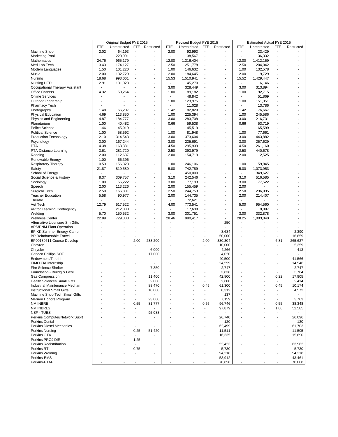|                                                                  |                          | Original Budget FYE 2015 |                          |                          |                          | Revised Budget FYE 2015 |                                  |                                                      |                                  | Estimated Actual FYE 2015 |                          |                  |
|------------------------------------------------------------------|--------------------------|--------------------------|--------------------------|--------------------------|--------------------------|-------------------------|----------------------------------|------------------------------------------------------|----------------------------------|---------------------------|--------------------------|------------------|
|                                                                  | FTE                      | Unrestricted             | <b>FTE</b>               | Restricted               | FTE                      | Unrestricted            | <b>FTE</b>                       | Restricted                                           | FTE                              | Unrestricted              | FTE                      | Restricted       |
| Machine Shop                                                     | 2.02                     | 64,193                   | $\overline{\phantom{a}}$ | $\overline{\phantom{a}}$ | 2.00                     | 92,993                  | $\overline{\phantom{a}}$         | $\overline{a}$                                       | $\overline{a}$                   | 23,429                    | ٠                        |                  |
| <b>Marketing Pool</b>                                            |                          | 220,991                  | $\overline{\phantom{a}}$ |                          |                          | 38,567                  | $\overline{\phantom{m}}$         | $\overline{a}$                                       |                                  | 36,332                    |                          |                  |
| Mathematics                                                      | 24.76                    | 965,179                  | $\overline{a}$           |                          | 12.00<br>2.50            | 1,316,404               | $\overline{a}$<br>$\overline{a}$ | $\overline{\phantom{a}}$<br>$\overline{\phantom{a}}$ | 12.00<br>2.50                    | 1,412,159                 |                          |                  |
| Med Lab Tech<br>Modern Languages                                 | 3.43<br>1.50             | 174,127<br>101,220       |                          | $\overline{\phantom{a}}$ | 1.00                     | 251,778<br>146,632      |                                  | $\overline{\phantom{a}}$                             | 1.00                             | 204,042<br>132,578        |                          |                  |
| Music                                                            | 2.00                     | 132,729                  | $\blacksquare$           | $\blacksquare$           | 2.00                     | 184,645                 | $\overline{a}$                   | $\overline{a}$                                       | 2.00                             | 119,729                   |                          |                  |
| Nursing                                                          | 18.68                    | 993,061                  |                          |                          | 15.53                    | 1,510,941               |                                  |                                                      | 15.52                            | 1,429,447                 |                          |                  |
| Nursing HED                                                      | 2.91                     | 131,028                  |                          | $\blacksquare$           | $\overline{\phantom{a}}$ | 45,270                  |                                  | $\blacksquare$                                       | $\blacksquare$                   | 16,146                    |                          |                  |
| Occupational Therapy Assistant                                   | $\overline{\phantom{a}}$ |                          |                          |                          | 3.00                     | 328,449                 |                                  |                                                      | 3.00                             | 313,894                   |                          |                  |
| <b>Office Careers</b>                                            | 4.32                     | 50,264                   |                          |                          | 1.00                     | 89,182                  | $\overline{a}$                   |                                                      | 1.00                             | 92,715                    |                          |                  |
| <b>Online Services</b>                                           |                          |                          |                          |                          | $\blacksquare$           | 48,842                  |                                  |                                                      | $\blacksquare$                   | 51,869                    |                          |                  |
| Outdoor Leadership                                               |                          |                          |                          |                          | 1.00                     | 123,975                 | $\overline{a}$                   |                                                      | 1.00                             | 151,351                   |                          |                  |
| <b>Pharmacy Tech</b>                                             |                          |                          |                          |                          |                          | 11,028                  | ä,                               | $\overline{a}$                                       | $\overline{\phantom{a}}$         | 13,786                    |                          |                  |
| Photography                                                      | 1.48                     | 66,207                   |                          |                          | 1.42                     | 82,829                  |                                  | ٠                                                    | 1.42                             | 76,667                    |                          |                  |
| <b>Physical Education</b><br>Physics and Engineering             | 4.69<br>4.87             | 113,850<br>184,777       |                          |                          | 1.00<br>3.00             | 225,394<br>283,708      | $\overline{a}$                   |                                                      | 1.00<br>3.00                     | 245,586<br>216,731        |                          |                  |
| Planetarium                                                      | 1.00                     | 40,482                   |                          |                          | 0.66                     | 59,538                  | $\overline{a}$                   |                                                      | 0.66                             | 53,719                    |                          |                  |
| <b>Police Science</b>                                            | 1.46                     | 45,019                   |                          |                          |                          | 45,519                  | $\overline{a}$                   |                                                      | $\blacksquare$                   | 65,599                    |                          |                  |
| <b>Political Science</b>                                         | 1.00                     | 58,592                   |                          |                          | 1.00                     | 81,948                  |                                  | $\overline{\phantom{a}}$                             | 1.00                             | 77,661                    |                          |                  |
| <b>Production Technology</b>                                     | 2.10                     | 314,543                  |                          |                          | 3.00                     | 373,604                 |                                  |                                                      | 3.00                             | 443,882                   |                          |                  |
| Psychology                                                       | 3.00                     | 167,244                  |                          |                          | 3.00                     | 235,691                 |                                  |                                                      | 3.00                             | 257,629                   |                          |                  |
| PTA                                                              | 4.38                     | 163,381                  |                          |                          | 4.50                     | 295,939                 |                                  | $\overline{\phantom{a}}$                             | 4.50                             | 261,160                   |                          |                  |
| PTA Distance Learning                                            | 3.61                     | 281,720                  | $\overline{a}$           |                          | 2.50                     | 393,979                 | $\overline{a}$                   |                                                      | 2.50                             | 440,678                   |                          |                  |
| Reading                                                          | 2.00                     | 112,687                  |                          |                          | 2.00                     | 154,719                 |                                  |                                                      | 2.00                             | 112,525                   |                          |                  |
| Renewable Energy                                                 | 1.00                     | 66,396                   |                          |                          |                          |                         |                                  |                                                      | $\blacksquare$                   |                           |                          |                  |
| <b>Respiratory Therapy</b>                                       | 0.53                     | 156,323                  |                          |                          | 1.00                     | 246,106                 | $\blacksquare$                   | $\overline{\phantom{a}}$                             | 1.00                             | 159,845                   |                          |                  |
| Safety<br>School of Energy                                       | 21.87                    | 819,589                  |                          |                          | 5.00                     | 742,789                 |                                  |                                                      | 5.00<br>$\overline{\phantom{a}}$ | 1,073,953                 |                          |                  |
| Social Science & History                                         | 8.37                     | 309,757                  |                          |                          | 3.10                     | 450,000<br>242,546      | $\overline{a}$                   |                                                      | 3.10                             | 349,627<br>516,585        |                          |                  |
| Sociology                                                        | 1.00                     | 56,222                   |                          |                          | 3.00                     | 77,193                  |                                  |                                                      | 3.00                             | 77,522                    |                          |                  |
| Speech                                                           | 2.00                     | 113,226                  |                          | $\blacksquare$           | 2.00                     | 155,459                 | $\overline{a}$                   | ٠                                                    | 2.00                             |                           |                          |                  |
| Surgical Tech                                                    | 2.50                     | 166,801                  |                          |                          | 2.50                     | 244,753                 | L,                               |                                                      | 2.50                             | 236,935                   |                          |                  |
| <b>Teacher Education</b>                                         | 5.58                     | 90,977                   |                          | $\blacksquare$           | 2.00                     | 144,735                 |                                  | $\overline{\phantom{a}}$                             | 2.00                             | 214,407                   |                          |                  |
| Theatre                                                          |                          |                          |                          |                          |                          | 72,621                  |                                  |                                                      | $\overline{\phantom{a}}$         |                           |                          |                  |
| Vet Tech                                                         | 12.79                    | 517,522                  |                          |                          | 4.00                     | 773,541                 |                                  |                                                      | 5.00                             | 954,560                   |                          |                  |
| VP for Learning Contingency                                      |                          | 212,838                  |                          |                          |                          | 17,638                  |                                  |                                                      | $\overline{\phantom{a}}$         | 9,097                     |                          |                  |
| Welding                                                          | 5.70                     | 150,532                  |                          |                          | 3.00                     | 301,751                 | $\overline{a}$                   | ٠                                                    | 3.00                             | 332,878                   |                          |                  |
| <b>Wellness Center</b>                                           | 22.89                    | 729,308                  |                          |                          | 28.46                    | 980,417                 |                                  | $\overline{a}$                                       | 28.25<br>L,                      | 1,003,040                 |                          |                  |
| Alternative Licensure Sm Gifts<br><b>APS/PNM Plant Operation</b> |                          |                          |                          |                          |                          |                         |                                  | 250<br>$\overline{a}$                                | ٠                                |                           |                          |                  |
| BP KK Summer Energy Camp                                         |                          |                          |                          |                          |                          |                         |                                  | 8,684                                                |                                  |                           |                          | 2,390            |
| <b>BP Reimbursable Travel</b>                                    |                          |                          |                          |                          |                          |                         | $\overline{\phantom{m}}$         | 50,000                                               |                                  |                           | $\overline{\phantom{a}}$ | 16,859           |
| BP00139611 Course Develop                                        |                          |                          | 2.00                     | 238,200                  |                          |                         | 2.00                             | 330,304                                              |                                  |                           | 6.81                     | 265,627          |
| Chevron                                                          |                          |                          |                          |                          |                          |                         | $\blacksquare$                   | 10,000                                               |                                  |                           | $\blacksquare$           | 5,359            |
| Chrysler                                                         |                          |                          | $\overline{a}$           | 6,000                    |                          |                         | $\overline{a}$                   | 4,266                                                |                                  |                           |                          | 413              |
| Conoco Phillips SOE                                              |                          |                          |                          | 17,000                   |                          |                         | Ĭ.                               | 4,020                                                |                                  |                           |                          |                  |
| Endowment/Title III                                              |                          |                          |                          |                          |                          |                         | ٠                                | 40,500                                               |                                  |                           |                          | 41,566           |
| FIMO FIA Internship                                              |                          |                          |                          |                          |                          |                         | $\overline{a}$                   | 24,559                                               |                                  |                           | $\overline{a}$           | 14,546           |
| <b>Fire Science Shelter</b>                                      |                          |                          |                          | 7,350                    |                          |                         | $\overline{a}$                   | 2,747                                                |                                  |                           |                          | 2,747            |
| Foundation - Buildg & Geol<br><b>Gas Compression</b>             |                          |                          |                          | 11,400                   |                          |                         | ä,                               | 3,838<br>42,800                                      |                                  |                           | 0.22                     | 3,764<br>17,805  |
| <b>Health Sciences Small Gifts</b>                               |                          |                          |                          | 2,000                    |                          |                         |                                  | 2,600                                                |                                  |                           |                          | 2,414            |
| Industrial Maintenance Mechan                                    |                          |                          |                          | 88,470                   |                          |                         | 0.45                             | 61,300                                               |                                  |                           | 0.45                     | 10,174           |
| <b>Instructional Small Gifts</b>                                 |                          |                          |                          | 10,000                   |                          |                         |                                  | 8,312                                                |                                  |                           |                          | 4,572            |
| Machine Shop Tech Small Gifts                                    |                          |                          |                          |                          |                          |                         |                                  | 137                                                  |                                  |                           |                          |                  |
| Merrion Honors Program                                           |                          |                          | $\overline{a}$           | 23,000                   |                          |                         | $\overline{a}$                   | 7,159                                                |                                  |                           |                          | 3,763            |
| NM INBRE                                                         |                          |                          | 0.55                     | 81,777                   |                          |                         | 0.55                             | 96,746                                               |                                  |                           | 0.55                     | 38,348           |
| NM INBRE2                                                        |                          |                          | $\overline{a}$           |                          |                          |                         | $\overline{a}$                   | 97,879                                               |                                  |                           | 1.00                     | 52,585           |
| NSF - TUES                                                       |                          |                          |                          | 95,088                   |                          |                         |                                  |                                                      |                                  |                           | $\overline{\phantom{a}}$ |                  |
| Perkins Computer/Network Suprt                                   |                          |                          |                          |                          |                          |                         |                                  | 26,740                                               |                                  |                           |                          | 26,096           |
| <b>Perkins Dental</b>                                            |                          |                          |                          |                          |                          |                         |                                  | 120                                                  |                                  |                           |                          | 120              |
| Perkins Diesel Mechanics<br>Perkins Nursing                      |                          |                          | $\blacksquare$<br>0.25   | 51,420                   |                          |                         |                                  | 62,499<br>11,511                                     |                                  |                           |                          | 61,703<br>11,505 |
| Perkins OTA                                                      |                          |                          |                          |                          |                          |                         |                                  | 16,335                                               |                                  |                           |                          | 15,690           |
| Perkins PROJ DIR                                                 |                          |                          | 1.25                     |                          |                          |                         |                                  |                                                      |                                  |                           |                          |                  |
| Perkins Redistribution                                           |                          |                          |                          |                          |                          |                         |                                  | 52,423                                               |                                  |                           |                          | 63,962           |
| Perkins RT                                                       |                          |                          | 0.75                     |                          |                          |                         | ٠                                | 5,730                                                |                                  |                           |                          | 5,730            |
| Perkins Welding                                                  |                          |                          |                          |                          |                          |                         |                                  | 94,218                                               |                                  |                           |                          | 94,218           |
| Perkins-EMS                                                      |                          |                          |                          |                          |                          |                         |                                  | 53,912                                               |                                  |                           |                          | 43,461           |
| Perkins-PTAP                                                     |                          |                          |                          |                          |                          |                         |                                  | 70,858                                               |                                  |                           |                          | 70,088           |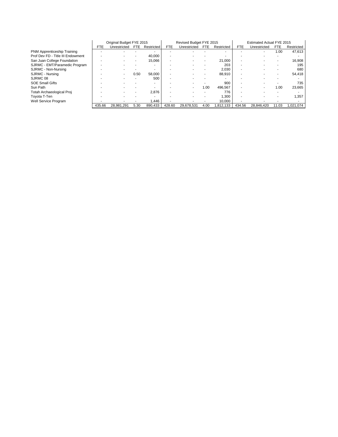|                                   | Original Budget FYE 2015 |              |      |            |            | Revised Budget FYE 2015 |      |            | Estimated Actual FYE 2015 |              |       |            |
|-----------------------------------|--------------------------|--------------|------|------------|------------|-------------------------|------|------------|---------------------------|--------------|-------|------------|
|                                   | <b>FTE</b>               | Unrestricted | FTE  | Restricted | <b>FTE</b> | Unrestricted            | FTE. | Restricted | <b>FTE</b>                | Unrestricted | FTE   | Restricted |
| PNM Apprenticeship Training       |                          |              |      |            |            |                         |      |            |                           |              | 1.00  | 47,613     |
| Prof Dev FD - Title III Endowment |                          |              |      | 40,000     |            |                         |      |            |                           |              |       |            |
| San Juan College Foundation       |                          |              |      | 15,066     |            |                         |      | 21,000     |                           |              |       | 16,908     |
| SJRMC - EMT/Paramedic Program     |                          |              |      |            |            |                         |      | 203        |                           |              |       | 195        |
| SJRMC - Non-Nursing               |                          |              |      |            |            |                         |      | 2,030      |                           |              |       | 680        |
| SJRMC - Nursing                   |                          |              | 0.50 | 58.000     |            |                         |      | 88,910     |                           |              |       | 54,418     |
| SJRMC 08                          |                          |              |      | 500        |            |                         |      |            |                           |              |       |            |
| <b>SOE Small Gifts</b>            |                          |              |      |            |            |                         |      | 900        |                           |              |       | 735        |
| Sun Path                          |                          |              |      |            |            |                         | 1.00 | 496.567    |                           |              | 1.00  | 23,665     |
| Totah Archaeological Proj         |                          |              |      | 2,876      |            |                         |      | 776        |                           |              |       |            |
| Toyota T-Ten                      |                          |              |      |            |            |                         |      | 1,300      |                           |              |       | 1,357      |
| Well Service Program              |                          |              |      | .446       |            |                         |      | 10,000     |                           |              |       |            |
|                                   | 435.66                   | 28,981,291   | 5.30 | 890,433    | 428.60     | 29,678,531              | 4.00 | 1,812,133  | 434.56                    | 28.846.420   | 11.03 | 1,021,074  |
|                                   |                          |              |      |            |            |                         |      |            |                           |              |       |            |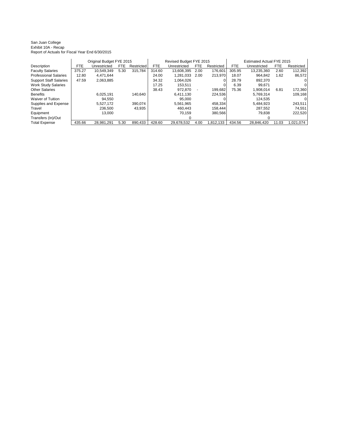#### San Juan College Exhibit 10A - Recap Report of Actuals for Fiscal Year End 6/30/2015

|                               |        | Original Budget FYE 2015 |      |            |        | Revised Budget FYE 2015 |      |            | Estimated Actual FYE 2015 |              |       |            |  |
|-------------------------------|--------|--------------------------|------|------------|--------|-------------------------|------|------------|---------------------------|--------------|-------|------------|--|
| Description                   | FTE.   | Unrestricted             | FTE. | Restricted | FTE.   | Unrestricted            | FTE  | Restricted | <b>FTE</b>                | Unrestricted | FTE   | Restricted |  |
| <b>Faculty Salaries</b>       | 375.27 | 10.549.349               | 5.30 | 315.784    | 314.60 | 13.608.395              | 2.00 | 176.601    | 305.95                    | 13.235.360   | 2.60  | 112,392    |  |
| <b>Professional Salaries</b>  | 12.80  | 4.471.644                |      |            | 24.00  | 1.281.033               | 2.00 | 213,970    | 18.07                     | 964.842      | 1.62  | 86,572     |  |
| <b>Support Staff Salaries</b> | 47.59  | 2,063,885                |      |            | 34.32  | 1.064.026               |      |            | 28.79                     | 892.370      |       |            |  |
| <b>Work Study Salaries</b>    |        |                          |      |            | 17.25  | 153.511                 |      |            | 6.39                      | 99.671       |       |            |  |
| <b>Other Salaries</b>         |        |                          |      |            | 38.43  | 972.870                 |      | 199.682    | 75.36                     | 1.908.014    | 6.81  | 172,360    |  |
| <b>Benefits</b>               |        | 6.025.191                |      | 140.640    |        | 6.411.130               |      | 224.536    |                           | 5.769.314    |       | 109,168    |  |
| Waiver of Tuition             |        | 94.550                   |      |            |        | 95.000                  |      |            |                           | 124.535      |       |            |  |
| Supplies and Expense          |        | 5,527,172                |      | 390.074    |        | 5.561.965               |      | 458,334    |                           | 5.484.923    |       | 243,511    |  |
| Travel                        |        | 236.500                  |      | 43.935     |        | 460.443                 |      | 158.444    |                           | 287.552      |       | 74.551     |  |
| Equipment                     |        | 13.000                   |      |            |        | 70.159                  |      | 380.566    |                           | 79.838       |       | 222,520    |  |
| Transfers (In)/Out            |        |                          |      |            |        |                         |      |            |                           |              |       |            |  |
| <b>Total Expense</b>          | 435.66 | 28.981.291               | 5.30 | 890,433    | 428.60 | 29.678.532              | 4.00 | 1.812.133  | 434.56                    | 28.846.420   | 11.03 | 1.021.074  |  |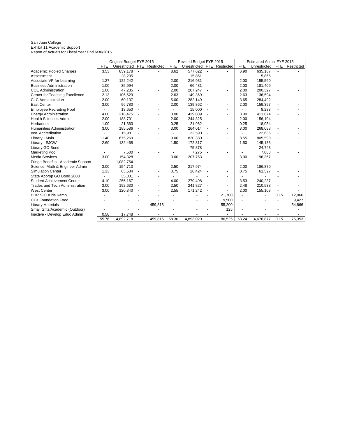#### San Juan College Exhibit 11 Academic Support Report of Actuals for Fiscal Year End 6/30/2015

|                                       | Original Budget FYE 2015<br>Revised Budget FYE 2015<br><b>Estimated Actual FYE 2015</b> |                             |                          |         |            |                             |                |                          |                |              |                          |            |
|---------------------------------------|-----------------------------------------------------------------------------------------|-----------------------------|--------------------------|---------|------------|-----------------------------|----------------|--------------------------|----------------|--------------|--------------------------|------------|
|                                       | <b>FTE</b>                                                                              | Unrestricted FTE Restricted |                          |         | <b>FTE</b> | Unrestricted FTE Restricted |                |                          | FTE            | Unrestricted | FTE                      | Restricted |
| Academic Pooled Charges               | 3.53                                                                                    | 859,178                     |                          |         | 8.62       | 577.622                     |                |                          | 6.90           | 635,187      |                          |            |
| Assessment                            |                                                                                         | 28.235                      | $\blacksquare$           |         |            | 15,861                      | $\blacksquare$ |                          |                | 5,865        | ä,                       |            |
| Associate VP for Learning             | 1.37                                                                                    | 122,242                     | ä,                       |         | 2.00       | 216,931                     |                | $\blacksquare$           | 2.00           | 155,560      |                          |            |
| <b>Business Administration</b>        | 1.00                                                                                    | 35,994                      |                          |         | 2.00       | 66,481                      |                |                          | 2.00           | 181,409      |                          |            |
| <b>CCE Administration</b>             | 1.00                                                                                    | 47,235                      | $\overline{\phantom{a}}$ |         | 2.00       | 207,247                     |                | $\blacksquare$           | 2.00           | 200,397      |                          |            |
| Center for Teaching Excellence        | 2.13                                                                                    | 106,629                     | $\blacksquare$           |         | 2.63       | 149,369                     |                | $\blacksquare$           | 2.63           | 136,594      |                          |            |
| <b>CLC</b> Administration             | 2.00                                                                                    | 60,137                      | $\blacksquare$           |         | 5.00       | 282,149                     |                | $\blacksquare$           | 3.65           | 284,492      |                          |            |
| <b>East Center</b>                    | 3.00                                                                                    | 96,780                      | $\blacksquare$           |         | 2.00       | 139,862                     |                | $\overline{\phantom{a}}$ | 2.00           | 159,397      |                          |            |
| <b>Employee Recruiting Pool</b>       |                                                                                         | 13,650                      |                          |         |            | 15,000                      |                |                          |                | 8,233        |                          |            |
| <b>Energy Administration</b>          | 4.00                                                                                    | 218.475                     |                          |         | 3.00       | 439,089                     |                | $\blacksquare$           | 3.00           | 411.674      |                          |            |
| <b>Health Sciences Admin</b>          | 2.00                                                                                    | 188.701                     | $\overline{\phantom{a}}$ |         | 2.00       | 244,325                     |                | $\ddot{\phantom{1}}$     | 2.00           | 156,104      |                          |            |
| Herbarium                             | 1.00                                                                                    | 21,363                      | ÷,                       |         | 0.25       | 21,962                      |                | $\blacksquare$           | 0.25           | 18,054       |                          |            |
| Humanities Administration             | 3.00                                                                                    | 185,586                     | $\overline{\phantom{a}}$ |         | 3.00       | 264,014                     |                | $\blacksquare$           | 3.00           | 268,088      | $\overline{\phantom{a}}$ |            |
| Inst. Accreditation                   |                                                                                         | 15,981                      |                          |         |            | 32,590                      |                |                          |                | 22,635       |                          |            |
| Library - Main                        | 11.40                                                                                   | 675,269                     |                          |         | 9.00       | 820,330                     |                |                          | 8.55           | 805,599      |                          |            |
| Library - SJCW                        | 2.60                                                                                    | 132,468                     |                          |         | 1.50       | 172,317                     |                |                          | 1.50           | 145,138      |                          |            |
| Library GO Bond                       |                                                                                         |                             |                          |         |            | 75,878                      |                | $\blacksquare$           |                | 24,743       |                          |            |
| <b>Marketing Pool</b>                 |                                                                                         | 7,500                       | $\overline{\phantom{a}}$ |         |            | 7,275                       |                |                          |                | 7,063        |                          |            |
| <b>Media Services</b>                 | 3.00                                                                                    | 154,328                     |                          |         | 3.00       | 207,753                     |                | $\blacksquare$           | 3.00           | 196,367      |                          |            |
| Fringe Benefits - Academic Support    |                                                                                         | 1,082,754                   |                          |         |            |                             |                |                          |                |              |                          |            |
| Science, Math & Engineer Admin        | 3.00                                                                                    | 154,713                     | ÷,                       |         | 2.50       | 217.974                     |                | $\blacksquare$           | 2.00           | 186,870      |                          |            |
| <b>Simulation Center</b>              | 1.13                                                                                    | 63,584                      | $\overline{\phantom{a}}$ |         | 0.75       | 26,424                      |                | $\blacksquare$           | 0.75           | 61,527       |                          |            |
| State Approp GO Bond 2008             | ٠                                                                                       | 35,031                      | $\blacksquare$           |         |            |                             |                | $\blacksquare$           |                |              |                          |            |
| <b>Student Achievement Center</b>     | 4.10                                                                                    | 256,167                     | $\blacksquare$           |         | 4.00       | 279,498                     |                |                          | 3.53           | 240,237      | $\overline{\phantom{a}}$ |            |
| <b>Trades and Tech Administration</b> | 3.00                                                                                    | 192,630                     |                          |         | 2.50       | 241.827                     |                |                          | 2.48           | 210,538      |                          |            |
| <b>West Center</b>                    | 3.00                                                                                    | 120,340                     |                          |         | 2.55       | 171,242                     |                |                          | 2.00           | 155,108      |                          |            |
| <b>BHP SJC Kids Kamp</b>              |                                                                                         |                             |                          |         |            |                             |                | 21,700                   | $\blacksquare$ |              | 0.15                     | 12,060     |
| <b>CTX Foundation Food</b>            |                                                                                         |                             |                          |         |            |                             |                | 9,500                    | $\blacksquare$ |              |                          | 9,427      |
| <b>Library Materials</b>              |                                                                                         |                             |                          | 459,816 |            |                             |                | 55,200                   | $\blacksquare$ |              |                          | 54,866     |
| Small Gifts/Academic (Outdoor)        |                                                                                         |                             |                          |         |            |                             |                | 125                      |                |              |                          |            |
| Inactive - Develop Educ Admin         | 0.50                                                                                    | 17,748                      |                          |         |            |                             |                |                          |                |              |                          |            |
|                                       | 55.76                                                                                   | 4,892,718                   |                          | 459,816 | 58.30      | 4,893,020                   |                | 86,525                   | 53.24          | 4,676,877    | 0.15                     | 76,353     |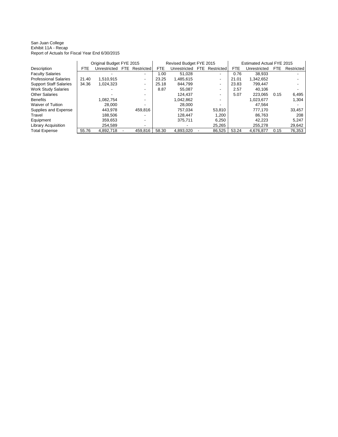San Juan College Exhibit 11A - Recap Report of Actuals for Fiscal Year End 6/30/2015

|                               |            | Original Budget FYE 2015 |      |            | Revised Budget FYE 2015 |              |      |            | Estimated Actual FYE 2015 |              |      |                   |
|-------------------------------|------------|--------------------------|------|------------|-------------------------|--------------|------|------------|---------------------------|--------------|------|-------------------|
| Description                   | <b>FTE</b> | Unrestricted             | FTE. | Restricted | <b>FTE</b>              | Unrestricted | FTE. | Restricted | <b>FTE</b>                | Unrestricted | FTE  | <b>Restricted</b> |
| <b>Faculty Salaries</b>       |            |                          |      | ۰.         | 1.00                    | 51.028       |      | ۰          | 0.76                      | 38.933       |      |                   |
| <b>Professional Salaries</b>  | 21.40      | 1.510.915                |      |            | 23.25                   | 1,485,615    |      | ٠          | 21.01                     | 1.342.652    |      |                   |
| <b>Support Staff Salaries</b> | 34.36      | 1.024.323                |      |            | 25.18                   | 844.799      |      | ٠          | 23.83                     | 799.447      |      |                   |
| <b>Work Study Salaries</b>    |            |                          |      |            | 8.87                    | 55.087       |      | ٠          | 2.57                      | 40.106       |      |                   |
| <b>Other Salaries</b>         |            |                          |      |            |                         | 124.437      |      | ٠          | 5.07                      | 223.065      | 0.15 | 6,495             |
| <b>Benefits</b>               |            | 1.082.754                |      | ۰.         |                         | 1.042.862    |      | ۰.         |                           | 1.023.677    |      | 1,304             |
| <b>Waiver of Tuition</b>      |            | 28.000                   |      |            |                         | 28.000       |      | -          |                           | 47.564       |      |                   |
| Supplies and Expense          |            | 443.978                  |      | 459.816    |                         | 757.034      |      | 53.810     |                           | 777.170      |      | 33,457            |
| Travel                        |            | 188.506                  |      |            |                         | 128.447      |      | 1.200      |                           | 86.763       |      | 208               |
| Equipment                     |            | 359.653                  |      | ٠          |                         | 375.711      |      | 6.250      |                           | 42.223       |      | 5.247             |
| <b>Library Acquisition</b>    |            | 254.589                  |      | ۰.         |                         |              |      | 25.265     |                           | 255.278      |      | 29,642            |
| <b>Total Expense</b>          | 55.76      | 4,892,718                |      | 459.816    | 58.30                   | 4.893.020    |      | 86.525     | 53.24                     | 4.676.877    | 0.15 | 76.353            |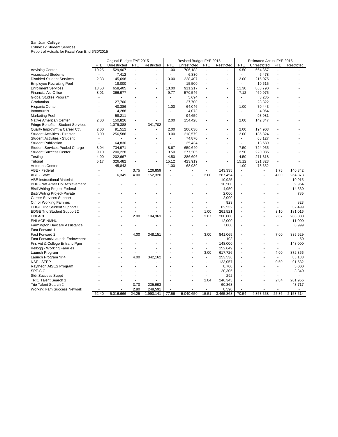San Juan College Exhibit 12 Student Services Report of Actuals for Fiscal Year End 6/30/2015

|                                       |            | Original Budget FYE 2015 |                |                          |                          | Revised Budget FYE 2015 |                |                |            | Estimated Actual FYE 2015 |                          |            |
|---------------------------------------|------------|--------------------------|----------------|--------------------------|--------------------------|-------------------------|----------------|----------------|------------|---------------------------|--------------------------|------------|
|                                       | <b>FTE</b> | Unrestricted             | <b>FTE</b>     | Restricted               | <b>FTE</b>               | Unrestricted            | <b>FTE</b>     | Restricted     | <b>FTE</b> | Unrestricted              | FTE                      | Restricted |
| <b>Advising Center</b>                | 10.25      | 529,907                  | $\overline{a}$ | $\overline{\phantom{a}}$ | 11.00                    | 706,188                 |                |                | 9.50       | 664,857                   | $\overline{\phantom{a}}$ |            |
| <b>Associated Students</b>            |            | 7,412                    | ä,             | $\sim$                   |                          | 6,830                   | $\overline{a}$ | $\blacksquare$ | $\sim$     | 6,478                     |                          |            |
| <b>Disabled Student Services</b>      | 2.33       | 145,698                  |                | ÷,                       | 3.00                     | 228,407                 |                | $\blacksquare$ | 3.00       | 215,075                   |                          |            |
| <b>Employee Recruiting Pool</b>       |            | 18,000                   |                | ÷,                       |                          | 15,500                  |                |                |            | 10,615                    |                          |            |
| <b>Enrollment Services</b>            | 13.50      | 658,405                  |                | ÷,                       | 13.00                    | 911,217                 |                | $\overline{a}$ | 11.30      | 863,790                   |                          |            |
| <b>Financial Aid Office</b>           | 8.01       | 366,977                  |                | ÷                        | 9.77                     | 570,546                 |                | $\overline{a}$ | 7.12       | 469,975                   |                          |            |
| Global Studies Program                | ٠          |                          |                | ÷.                       |                          | 5,694                   |                | $\overline{a}$ |            | 3,235                     |                          |            |
| Graduation                            |            | 27,700                   |                | ä,                       |                          | 27,700                  |                |                | ÷.         | 28,322                    |                          |            |
| Hispanic Center                       | ÷          | 40,386                   |                | ÷                        | 1.00                     | 64,046                  |                | $\overline{a}$ | 1.00       | 70,443                    |                          |            |
| Intramurals                           | ٠          | 4,288                    |                | ٠                        | ä,                       | 4,073                   |                | $\blacksquare$ | $\sim$     | 4,064                     |                          |            |
| Marketing Pool                        |            | 58,211                   |                | ä,                       |                          | 94,659                  |                |                | ÷,         | 93,981                    |                          |            |
| Native American Center                | 2.00       | 150,826                  | ÷,             | ä,                       | 2.00                     | 154,428                 |                | $\overline{a}$ | 2.00       | 142,347                   |                          |            |
| Fringe Benefits - Student Services    | ÷,         | 1,079,388                | $\overline{a}$ | 341,702                  |                          |                         |                | $\blacksquare$ |            |                           |                          |            |
| Quality Improvmt & Career Ctr.        | 2.00       | 91,512                   | ÷,             |                          | 2.00                     | 206,030                 |                | $\blacksquare$ | 2.00       | 194,903                   |                          |            |
| <b>Student Activities - Director</b>  | 3.00       | 256,586                  |                | ä,                       | 3.00                     | 218,579                 |                | ÷              | 3.00       | 186,824                   |                          |            |
| <b>Student Activities - Student</b>   |            |                          |                |                          |                          | 74,870                  |                |                | ÷,         | 68,127                    |                          |            |
| <b>Student Publication</b>            | ÷,         | 64,830                   |                | ä,                       | $\overline{\phantom{a}}$ | 35,434                  |                | $\blacksquare$ | $\sim$     | 13,689                    |                          |            |
| <b>Student Services Pooled Charge</b> | 3.04       | 734,971                  |                | $\blacksquare$           | 8.67                     | 659,640                 |                | $\blacksquare$ | 7.50       | 724,955                   |                          |            |
| <b>Student Success Center</b>         | 9.10       | 200,228                  |                | ÷,                       | 3.50                     | 277,205                 |                | $\blacksquare$ | 3.50       | 220,085                   |                          |            |
| Testing                               | 4.00       | 202,667                  |                | ä,                       | 4.50                     | 286,696                 |                |                | 4.50       | 271,318                   |                          |            |
| Tutorial                              | 5.17       | 326,482                  | $\overline{a}$ | $\blacksquare$           | 15.12                    | 423,919                 |                | $\blacksquare$ | 15.12      | 521,823                   |                          |            |
| <b>Veterans Center</b>                | ÷          | 45,843                   | $\overline{a}$ |                          | 1.00                     | 68,989                  |                |                | 1.00       | 78,652                    | $\overline{a}$           |            |
| ABE - Federal                         | ä,         |                          | 3.75           | 126,859                  |                          |                         |                | 143,335        |            |                           | 1.75                     | 140,342    |
| ABE - State                           |            | 6,349                    | 4.00           | 152,320                  |                          |                         | 3.00           | 267,454        |            |                           | 4.00                     | 264,873    |
| <b>ABE Instructional Materials</b>    |            |                          | ٠              |                          |                          |                         | ٠              | 10,925         |            |                           | $\overline{a}$           | 10,915     |
| <b>BHP - Nat Amer Col Achievement</b> |            |                          |                |                          |                          |                         |                | 10,500         |            |                           | $\blacksquare$           | 9,954      |
| Bisti Writing Project-Federal         |            |                          |                |                          |                          |                         |                | 4,950          |            |                           |                          | 14,530     |
| <b>Bisti Writing Project-Private</b>  |            |                          |                |                          |                          |                         |                | 2,000          |            |                           |                          | 785        |
| Career Services Support               |            |                          |                | ä,                       |                          |                         |                | 2,000          |            |                           |                          |            |
| <b>Ctr for Working Families</b>       |            |                          |                | ä,                       |                          |                         |                | 923            |            |                           | ÷.                       | 823        |
| <b>EDGE Trio Student Support 1</b>    |            |                          |                |                          |                          |                         |                | 62,532         |            |                           | ä,                       | 32,499     |
| <b>EDGE Trio Student Support 2</b>    |            |                          |                |                          |                          |                         | 1.00           | 261,521        |            |                           | 3.10                     | 181,016    |
| <b>ENLACE</b>                         |            |                          | 2.00           | 194,363                  |                          |                         | 2.67           | 200,000        |            |                           | 2.67                     | 200,000    |
| <b>ENLACE NMHU</b>                    |            |                          |                |                          |                          |                         | ÷.             | 12,000         |            |                           | $\overline{a}$           | 11,000     |
| Farmington Daycare Assistance         |            |                          |                |                          |                          |                         | $\overline{a}$ | 7,000          |            |                           | $\overline{\phantom{a}}$ | 6,999      |
| Fast Forward 1                        |            |                          |                |                          |                          |                         |                |                |            |                           | ä,                       |            |
| <b>Fast Forward 2</b>                 |            |                          | 4.00           | 348,151                  |                          |                         | 3.00           | 841,065        |            |                           | 7.00                     | 335,629    |
| Fast Forward/Launch Endowment         |            |                          |                |                          |                          |                         |                | 103            |            |                           | $\overline{a}$           | 50         |
| Fin. Aid & College Entranc Pgm        |            |                          |                |                          |                          |                         |                | 148,000        |            |                           | ٠                        | 148,000    |
| Kellogg - Working Families            |            |                          |                |                          |                          |                         |                | 152,649        |            |                           |                          |            |
| Launch Program                        |            |                          |                |                          |                          |                         | 3.00           | 617,726        |            |                           | 4.00                     | 372,366    |
| Launch Program Yr 4                   |            |                          | 4.00           | 342.162                  |                          |                         | ÷              | 253,536        |            |                           | $\blacksquare$           | 83,138     |
| NSF - STEP                            |            |                          |                |                          |                          |                         |                | 123,057        |            |                           | 0.50                     | 91,582     |
| Raytheon AISES Program                |            |                          |                |                          |                          |                         |                | 8,700          |            |                           | ä,                       | 5,000      |
| SPF-SIG                               |            |                          |                |                          |                          |                         |                | 20,305         |            |                           |                          | 3,340      |
| <b>Stdt Success Suppt</b>             |            |                          |                |                          |                          |                         |                | 292            |            |                           | $\blacksquare$           |            |
| <b>TRIO Talent Search 1</b>           |            |                          |                |                          |                          |                         | 2.84           | 246,343        |            |                           | 2.84                     | 201,956    |
| <b>Trio Talent Search 2</b>           |            |                          | 3.70           | 235,993                  |                          |                         |                | 60,363         |            |                           | ä,                       | 43,717     |
| Working Fam Success Network           |            |                          | 2.80           | 248,591                  |                          |                         |                | 8,590          |            |                           | $\blacksquare$           |            |
|                                       | 62.40      | 5,016,666                | 24.25          | 1,990,141                | 77.56                    | 5,040,650               | 15.51          | 3,465,868      | 70.54      | 4,853,558                 | 25.86                    | 2,158,514  |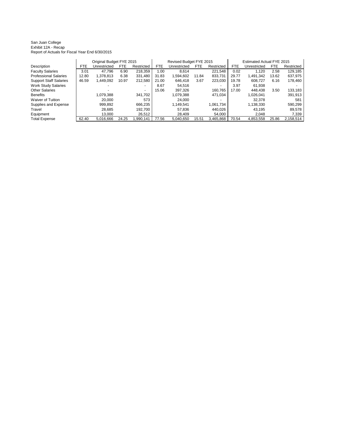#### San Juan College Exhibit 12A - Recap Report of Actuals for Fiscal Year End 6/30/2015

|                               |       | Original Budget FYE 2015 |       |                |       | Revised Budget FYE 2015 |            |            | Estimated Actual FYE 2015 |              |            |            |  |
|-------------------------------|-------|--------------------------|-------|----------------|-------|-------------------------|------------|------------|---------------------------|--------------|------------|------------|--|
| Description                   | FTE   | Unrestricted             | FTE   | Restricted     | FTE   | Unrestricted            | <b>FTE</b> | Restricted | <b>FTE</b>                | Unrestricted | <b>FTE</b> | Restricted |  |
| <b>Faculty Salaries</b>       | 3.01  | 47.796                   | 6.90  | 218,359        | 1.00  | 8.614                   |            | 221.548    | 0.02                      | 1.120        | 2.58       | 129,185    |  |
| <b>Professional Salaries</b>  | 12.80 | 1,378,813                | 6.38  | 331,480        | 31.83 | 1,594,602               | 11.84      | 833,731    | 29.77                     | 1,491,342    | 13.62      | 637,975    |  |
| <b>Support Staff Salaries</b> | 46.59 | 1,449,092                | 10.97 | 212,580        | 21.00 | 646.418                 | 3.67       | 223.030    | 19.78                     | 608.727      | 6.16       | 178,460    |  |
| <b>Work Study Salaries</b>    |       |                          |       | $\overline{a}$ | 8.67  | 54.516                  |            |            | 3.97                      | 61.938       |            |            |  |
| <b>Other Salaries</b>         |       |                          |       |                | 15.06 | 397.326                 |            | 160.765    | 17.00                     | 448.438      | 3.50       | 133.183    |  |
| <b>Benefits</b>               |       | 1,079,388                |       | 341,702        |       | 1.079.388               |            | 471,034    |                           | 1,026,041    |            | 391,913    |  |
| Waiver of Tuition             |       | 20.000                   |       | 573            |       | 24.000                  |            |            |                           | 32.378       |            | 581        |  |
| Supplies and Expense          |       | 999.892                  |       | 666.235        |       | 1.149.541               |            | 1,061,734  |                           | 1,138,330    |            | 590,299    |  |
| Travel                        |       | 28,685                   |       | 192.700        |       | 57,836                  |            | 440.026    |                           | 43.195       |            | 89,578     |  |
| Equipment                     |       | 13.000                   |       | 26,512         |       | 28.409                  |            | 54.000     |                           | 2.048        |            | 7.339      |  |
| <b>Total Expense</b>          | 62.40 | 5.016.666                | 24.25 | .990.141       | 77.56 | 5.040.650               | 15.51      | 3,465,868  | 70.54                     | 4.853.558    | 25.86      | 2.158.514  |  |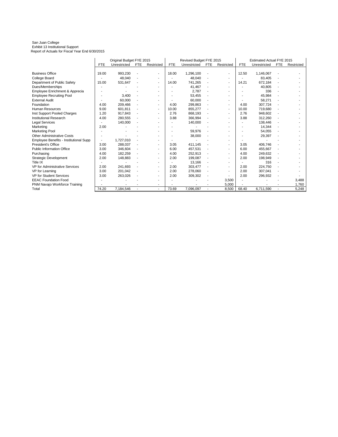#### San Juan College Exhibit 13 Institutional Support Report of Actuals for Fiscal Year End 6/30/2015

|                                        | Original Budget FYE 2015 |              |                |                          |            | Revised Budget FYE 2015 |            | Estimated Actual FYE 2015 |            |              |            |            |
|----------------------------------------|--------------------------|--------------|----------------|--------------------------|------------|-------------------------|------------|---------------------------|------------|--------------|------------|------------|
|                                        | <b>FTE</b>               | Unrestricted | <b>FTE</b>     | Restricted               | <b>FTE</b> | Unrestricted            | <b>FTE</b> | Restricted                | <b>FTE</b> | Unrestricted | <b>FTE</b> | Restricted |
|                                        |                          |              |                |                          |            |                         |            |                           |            |              |            |            |
| <b>Business Office</b>                 | 19.00                    | 993,230      |                | ٠                        | 18.00      | 1,296,100               |            | $\overline{\phantom{a}}$  | 12.50      | 1,146,067    |            |            |
| College Board                          |                          | 48,040       |                | ٠                        |            | 48,040                  |            | $\overline{\phantom{a}}$  |            | 83,405       |            |            |
| Department of Public Safety            | 15.00                    | 531,647      | ٠              | ٠                        | 14.00      | 741.265                 |            | $\overline{\phantom{a}}$  | 14.21      | 672,184      |            |            |
| Dues/Memberships                       |                          |              |                | ٠                        |            | 41,467                  |            |                           |            | 40,805       |            |            |
| Employee Enrichment & Apprecia         |                          |              |                | ٠                        |            | 2,787                   |            |                           |            | 336          |            |            |
| <b>Employee Recruiting Pool</b>        |                          | 3,400        |                | ٠                        |            | 53,455                  |            |                           |            | 45,984       |            |            |
| <b>External Audit</b>                  |                          | 60,000       |                | ٠                        |            | 60,000                  |            |                           |            | 58,271       |            |            |
| Foundation                             | 4.00                     | 209,466      |                | ٠                        | 4.00       | 299.863                 |            | $\blacksquare$            | 4.00       | 307.724      |            |            |
| Human Resources                        | 9.00                     | 601,811      |                | ٠                        | 10.00      | 855,277                 |            | $\blacksquare$            | 10.00      | 719,680      |            |            |
| Inst Support Pooled Charges            | 1.20                     | 917,843      |                | ٠                        | 2.76       | 868,193                 |            | $\overline{\phantom{a}}$  | 2.76       | 948,602      |            |            |
| <b>Institutional Research</b>          | 4.00                     | 280,555      |                | ٠                        | 3.88       | 366,994                 |            | $\blacksquare$            | 3.88       | 312,260      |            |            |
| Legal Services                         |                          | 140,000      |                | ٠                        |            | 140,000                 |            |                           |            | 138,446      |            |            |
| Marketing                              | 2.00                     |              |                | ٠                        |            |                         |            |                           |            | 14,344       |            |            |
| <b>Marketing Pool</b>                  |                          |              |                | ٠                        |            | 59,976                  |            |                           |            | 54,055       |            |            |
| <b>Other Administrative Costs</b>      |                          |              |                |                          |            | 38,000                  |            |                           |            | 29,397       |            |            |
| Employee Benefits - Institutional Supp |                          | 1,727,010    |                | ٠                        |            |                         |            |                           |            |              |            |            |
| President's Office                     | 3.00                     | 288,037      |                | ٠                        | 3.05       | 411.145                 |            | $\blacksquare$            | 3.05       | 406,746      |            |            |
| <b>Public Information Office</b>       | 3.00                     | 346,604      |                | ٠                        | 6.00       | 457.531                 |            | $\blacksquare$            | 6.00       | 455,667      |            |            |
| Purchasing                             | 4.00                     | 182,259      |                | ٠                        | 4.00       | 252,913                 |            | $\overline{\phantom{a}}$  | 4.00       | 249,632      |            |            |
| Strategic Development                  | 2.00                     | 148,883      |                | ٠                        | 2.00       | 199,087                 |            | $\overline{\phantom{a}}$  | 2.00       | 198,949      |            |            |
| Title IX                               |                          |              |                | ٠                        |            | 13.166                  |            |                           |            | 316          |            |            |
| <b>VP for Administrative Services</b>  | 2.00                     | 241.693      |                | ۰                        | 2.00       | 303,477                 |            | $\overline{\phantom{a}}$  | 2.00       | 224,750      |            |            |
| <b>VP</b> for Learning                 | 3.00                     | 201,042      |                | ٠                        | 2.00       | 278,060                 |            | $\overline{a}$            | 2.00       | 307,041      |            |            |
| <b>VP for Student Services</b>         | 3.00                     | 263,026      |                | ٠                        | 2.00       | 309,302                 |            |                           | 2.00       | 296,932      |            |            |
| <b>EEAC Foundation Food</b>            |                          |              |                | ٠                        |            |                         |            | 3,500                     |            |              |            | 3,488      |
| PNM Navajo Workforce Training          |                          |              |                | ٠                        |            |                         |            | 5,000                     |            |              |            | 1,760      |
| Total                                  | 74.20                    | 7,184,546    | $\overline{a}$ | $\overline{\phantom{a}}$ | 73.69      | 7.096.097               |            | 8,500                     | 68.40      | 6,711,590    |            | 5,248      |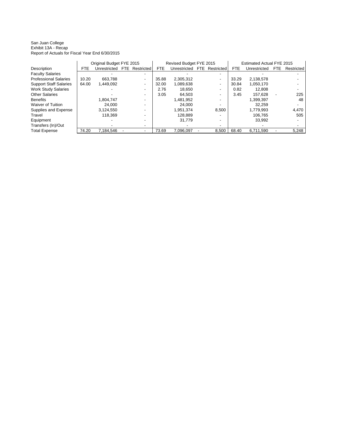San Juan College Exhibit 13A - Recap Report of Actuals for Fiscal Year End 6/30/2015

|                               | Original Budget FYE 2015 |              |  |                |       | Revised Budget FYE 2015 |                       | Estimated Actual FYE 2015 |              |     |            |  |
|-------------------------------|--------------------------|--------------|--|----------------|-------|-------------------------|-----------------------|---------------------------|--------------|-----|------------|--|
| Description                   | <b>FTE</b>               | Unrestricted |  | FTE Restricted | FTE.  | Unrestricted            | <b>FTE</b> Restricted | <b>FTE</b>                | Unrestricted | FTE | Restricted |  |
| <b>Faculty Salaries</b>       |                          |              |  |                |       |                         |                       |                           |              |     |            |  |
| <b>Professional Salaries</b>  | 10.20                    | 663.788      |  |                | 35.88 | 2.305.312               | ۰.                    | 33.29                     | 2,138,578    |     |            |  |
| <b>Support Staff Salaries</b> | 64.00                    | 1.449.092    |  | -              | 32.00 | 1,089,638               | -                     | 30.84                     | 1.050.170    |     |            |  |
| <b>Work Study Salaries</b>    |                          |              |  |                | 2.76  | 18.650                  | ٠                     | 0.82                      | 12.808       |     |            |  |
| <b>Other Salaries</b>         |                          |              |  |                | 3.05  | 64.503                  | ٠                     | 3.45                      | 157.628      |     | 225        |  |
| <b>Benefits</b>               |                          | 1.804.747    |  |                |       | 1.481.952               | -                     |                           | 1.399.397    |     | 48         |  |
| Waiver of Tuition             |                          | 24.000       |  |                |       | 24.000                  |                       |                           | 32.259       |     |            |  |
| Supplies and Expense          |                          | 3.124.550    |  |                |       | 1.951.374               | 8.500                 |                           | 1.779.993    |     | 4,470      |  |
| Travel                        |                          | 118.369      |  |                |       | 128.889                 | -                     |                           | 106.765      |     | 505        |  |
| Equipment                     |                          |              |  |                |       | 31.779                  | ۰                     |                           | 33.992       |     |            |  |
| Transfers (In)/Out            |                          |              |  |                |       |                         |                       |                           |              |     |            |  |
| <b>Total Expense</b>          | 74.20                    | 7.184.546    |  |                | 73.69 | 7.096.097               | 8.500                 | 68.40                     | 6.711.590    |     | 5,248      |  |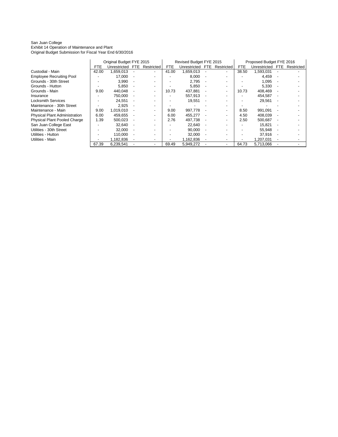#### San Juan College Exhibit 14 Operation of Maintenance and Plant Original Budget Submission for Fiscal Year End 6/30/2016

|                                      | Original Budget FYE 2015 |                  |  |                          |            | Revised Budget FYE 2015 |                          |                          | Proposed Budget FYE 2016 |              |      |            |
|--------------------------------------|--------------------------|------------------|--|--------------------------|------------|-------------------------|--------------------------|--------------------------|--------------------------|--------------|------|------------|
|                                      | <b>FTE</b>               | Unrestricted FTE |  | Restricted               | <b>FTE</b> | Unrestricted            | FTE.                     | Restricted               | <b>FTE</b>               | Unrestricted | FTE. | Restricted |
| Custodial - Main                     | 42.00                    | 1.659.013        |  | $\blacksquare$           | 41.00      | 1.659.013               |                          | ۰                        | 38.50                    | 1.593.031    |      |            |
| <b>Employee Recruiting Pool</b>      |                          | 17.000           |  |                          |            | 8.000                   |                          |                          |                          | 4.459        |      |            |
| Grounds - 30th Street                |                          | 3,990            |  |                          |            | 2,795                   |                          |                          |                          | 1,095        |      |            |
| Grounds - Hutton                     |                          | 5,850            |  |                          |            | 5,850                   |                          |                          |                          | 5,330        |      |            |
| Grounds - Main                       | 9.00                     | 440,048          |  | $\overline{\phantom{a}}$ | 10.73      | 437,881                 |                          | $\overline{\phantom{a}}$ | 10.73                    | 408,469      |      |            |
| Insurance                            |                          | 750,000          |  |                          |            | 557,913                 |                          |                          |                          | 454,587      |      |            |
| <b>Locksmith Services</b>            |                          | 24,551           |  |                          |            | 19,551                  | $\overline{\phantom{a}}$ |                          |                          | 29,561       |      |            |
| Maintenance - 30th Street            |                          | 2,925            |  |                          |            |                         |                          |                          |                          |              |      |            |
| Maintenance - Main                   | 9.00                     | 1,019,010        |  | $\overline{\phantom{a}}$ | 9.00       | 997,778                 |                          | $\overline{\phantom{0}}$ | 8.50                     | 991,091      |      |            |
| <b>Physical Plant Administration</b> | 6.00                     | 459.655          |  | $\overline{\phantom{a}}$ | 6.00       | 455.277                 |                          |                          | 4.50                     | 408,039      |      |            |
| <b>Physical Plant Pooled Charge</b>  | 1.39                     | 500,023          |  |                          | 2.76       | 497,738                 |                          |                          | 2.50                     | 500,687      |      |            |
| San Juan College East                |                          | 32,640           |  |                          |            | 22,640                  |                          |                          |                          | 15,821       |      |            |
| Utilities - 30th Street              |                          | 32,000           |  |                          |            | 90.000                  |                          |                          |                          | 55.948       |      |            |
| Utilities - Hutton                   |                          | 110.000          |  |                          |            | 32,000                  |                          |                          |                          | 37.916       |      |            |
| Utilities - Main                     |                          | 1,182,836        |  |                          |            | 1,162,836               |                          |                          |                          | 1,207,031    |      |            |
|                                      | 67.39                    | 6,239,541        |  |                          | 69.49      | 5,949,272               |                          |                          | 64.73                    | 5,713,066    |      |            |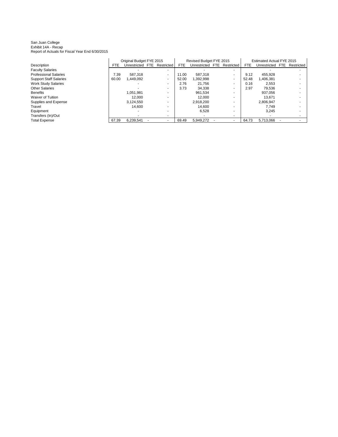#### San Juan College Exhibit 14A - Recap Report of Actuals for Fiscal Year End 6/30/2015

|                               | Original Budget FYE 2015 |                             |  |   |            | Revised Budget FYE 2015     |  | <b>Estimated Actual FYE 2015</b> |            |                  |  |            |
|-------------------------------|--------------------------|-----------------------------|--|---|------------|-----------------------------|--|----------------------------------|------------|------------------|--|------------|
| Description                   | <b>FTE</b>               | Unrestricted FTE Restricted |  |   | <b>FTE</b> | Unrestricted FTE Restricted |  |                                  | <b>FTE</b> | Unrestricted FTE |  | Restricted |
| <b>Faculty Salaries</b>       |                          |                             |  |   |            |                             |  |                                  |            |                  |  |            |
| <b>Professional Salaries</b>  | 7.39                     | 587.318                     |  | ٠ | 11.00      | 587.318                     |  |                                  | 9.12       | 455.928          |  |            |
| <b>Support Staff Salaries</b> | 60.00                    | .449.092                    |  |   | 52.00      | 1.392.998                   |  | ۰.                               | 52.48      | 1.406.381        |  |            |
| <b>Work Study Salaries</b>    |                          |                             |  |   | 2.76       | 21.756                      |  |                                  | 0.16       | 2.553            |  |            |
| <b>Other Salaries</b>         |                          |                             |  |   | 3.73       | 34.338                      |  |                                  | 2.97       | 79.536           |  |            |
| <b>Benefits</b>               |                          | 1.051.981                   |  |   |            | 961.534                     |  |                                  |            | 937.056          |  |            |
| <b>Waiver of Tuition</b>      |                          | 12.000                      |  |   |            | 12.000                      |  |                                  |            | 13.671           |  |            |
| Supplies and Expense          |                          | 3.124.550                   |  |   |            | 2.918.200                   |  |                                  |            | 2.806.947        |  |            |
| Travel                        |                          | 14.600                      |  |   |            | 14.600                      |  |                                  |            | 7.749            |  |            |
| Equipment                     |                          |                             |  |   |            | 6.528                       |  |                                  |            | 3.245            |  |            |
| Transfers (In)/Out            |                          |                             |  |   |            |                             |  |                                  |            |                  |  |            |
| <b>Total Expense</b>          | 67.39                    | 6.239.541                   |  |   | 69.49      | 5.949.272                   |  |                                  | 64.73      | 5.713.066        |  |            |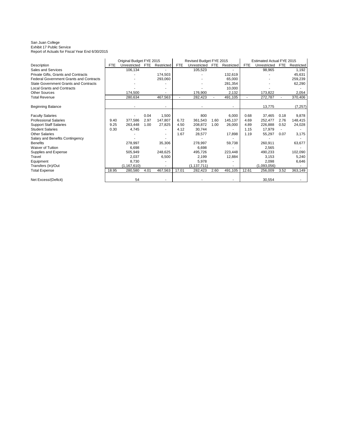#### San Juan College Exhibit 17 Public Service Report of Actuals for Fiscal Year End 6/30/2015

|                                                | Original Budget FYE 2015 |               |            |            | Revised Budget FYE 2015 |               |            |            | Estimated Actual FYE 2015 |              |            |            |
|------------------------------------------------|--------------------------|---------------|------------|------------|-------------------------|---------------|------------|------------|---------------------------|--------------|------------|------------|
| Description                                    | <b>FTE</b>               | Unrestricted  | <b>FTE</b> | Restricted | <b>FTE</b>              | Unrestricted  | <b>FTE</b> | Restricted | <b>FTE</b>                | Unrestricted | <b>FTE</b> | Restricted |
| Sales and Services                             |                          | 106,134       |            |            |                         | 105,523       |            |            |                           | 98,965       |            | 1,192      |
| Private Gifts, Grants and Contracts            |                          |               |            | 174,503    |                         |               |            | 132,619    |                           |              |            | 45,631     |
| <b>Federal Government Grants and Contracts</b> |                          |               |            | 293,060    |                         |               |            | 65,000     |                           |              |            | 259,239    |
| <b>State Government Grants and Contracts</b>   |                          |               |            |            |                         |               |            | 281,354    |                           |              |            | 62,290     |
| <b>Local Grants and Contracts</b>              |                          |               |            |            |                         |               |            | 10,000     |                           |              |            |            |
| <b>Other Sources</b>                           |                          | 174.500       |            |            |                         | 176,900       |            | 2,132      |                           | 173,822      |            | 2,054      |
| <b>Total Revenue</b>                           |                          | 280,634       |            | 467,563    | $\blacksquare$          | 282,423       |            | 491,105    |                           | 272,787      |            | 370,406    |
| <b>Beginning Balance</b>                       |                          |               |            |            |                         |               |            |            |                           | 13,775       |            | (7, 257)   |
| <b>Faculty Salaries</b>                        |                          |               | 0.04       | 1,500      |                         | 800           |            | 6,000      | 0.68                      | 37.465       | 0.18       | 9,878      |
| <b>Professional Salaries</b>                   | 9.40                     | 377,586       | 2.97       | 147,807    | 6.72                    | 361,543       | 1.60       | 145,137    | 4.69                      | 252,477      | 2.76       | 148,415    |
| <b>Support Staff Salaries</b>                  | 9.25                     | 263,448       | 1.00       | 27,825     | 4.50                    | 208,872       | 1.00       | 26,000     | 4.89                      | 226,888      | 0.52       | 24,028     |
| <b>Student Salaries</b>                        | 0.30                     | 4,745         |            |            | 4.12                    | 30,744        |            |            | 1.15                      | 17,979       |            |            |
| <b>Other Salaries</b>                          |                          |               |            |            | 1.67                    | 28,577        |            | 17,898     | 1.19                      | 55,297       | 0.07       | 3,175      |
| Salary and Benefits Contingency                |                          |               |            |            |                         |               |            |            |                           |              |            |            |
| <b>Benefits</b>                                |                          | 278,997       |            | 35,306     |                         | 278,997       |            | 59,738     |                           | 260,911      |            | 63,677     |
| <b>Waiver of Tuition</b>                       |                          | 6,698         |            |            |                         | 6,698         |            |            |                           | 2.565        |            |            |
| Supplies and Expense                           |                          | 505,949       |            | 248,625    |                         | 495,726       |            | 223,448    |                           | 490,233      |            | 102,090    |
| Travel                                         |                          | 2,037         |            | 6,500      |                         | 2,199         |            | 12,884     |                           | 3,153        |            | 5,240      |
| Equipment                                      |                          | 8,730         |            |            |                         | 5,978         |            |            |                           | 2,098        |            | 6,646      |
| Transfers (In)/Out                             |                          | (1, 167, 610) |            |            |                         | (1, 137, 711) |            |            |                           | (1,093,056)  |            |            |
| <b>Total Expense</b>                           | 18.95                    | 280,580       | 4.01       | 467,563    | 17.01                   | 282,423       | 2.60       | 491,105    | 12.61                     | 256,009      | 3.52       | 363,149    |
| Net Excess/(Deficit)                           |                          | 54            |            |            |                         |               |            |            |                           | 30,554       |            |            |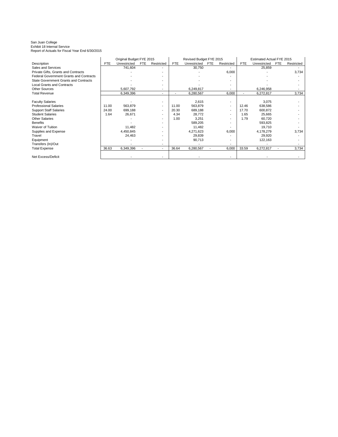### San Juan College Exhibit 18 Internal Service Report of Actuals for Fiscal Year End 6/30/2015

|                                                | Original Budget FYE 2015 |              |            |                          |       | Revised Budget FYE 2015 |            |                          | Estimated Actual FYE 2015 |              |            |            |
|------------------------------------------------|--------------------------|--------------|------------|--------------------------|-------|-------------------------|------------|--------------------------|---------------------------|--------------|------------|------------|
| Description                                    | <b>FTE</b>               | Unrestricted | <b>FTE</b> | Restricted               | FTE   | Unrestricted            | <b>FTE</b> | Restricted               | <b>FTE</b>                | Unrestricted | <b>FTE</b> | Restricted |
| Sales and Services                             |                          | 741,604      |            |                          |       | 30,750                  |            |                          |                           | 25,859       |            |            |
| Private Gifts, Grants and Contracts            |                          |              |            |                          |       |                         |            | 6,000                    |                           |              |            | 3,734      |
| <b>Federal Government Grants and Contracts</b> |                          |              |            |                          |       |                         |            |                          |                           |              |            |            |
| <b>State Government Grants and Contracts</b>   |                          |              |            |                          |       |                         |            |                          |                           |              |            |            |
| <b>Local Grants and Contracts</b>              |                          |              |            |                          |       |                         |            |                          |                           |              |            |            |
| <b>Other Sources</b>                           |                          | 5,607,792    |            | $\overline{\phantom{a}}$ |       | 6,249,817               |            |                          |                           | 6,246,958    |            |            |
| <b>Total Revenue</b>                           |                          | 6,349,396    |            | $\overline{\phantom{0}}$ |       | 6,280,567               |            | 6,000                    |                           | 6,272,817    |            | 3,734      |
|                                                |                          |              |            |                          |       |                         |            |                          |                           |              |            |            |
| <b>Faculty Salaries</b>                        |                          |              |            |                          |       | 2,615                   |            | $\overline{\phantom{a}}$ |                           | 3,075        |            |            |
| <b>Professional Salaries</b>                   | 11.00                    | 563,879      |            |                          | 11.00 | 563,879                 |            | $\overline{\phantom{a}}$ | 12.46                     | 638,586      |            |            |
| <b>Support Staff Salaries</b>                  | 24.00                    | 699,188      |            |                          | 20.30 | 689,188                 |            | $\overline{\phantom{a}}$ | 17.70                     | 600,872      |            |            |
| <b>Student Salaries</b>                        | 1.64                     | 26,671       |            |                          | 4.34  | 28,772                  |            |                          | 1.65                      | 25,665       |            |            |
| <b>Other Salaries</b>                          |                          |              |            |                          | 1.00  | 3,251                   |            |                          | 1.79                      | 60,720       |            |            |
| <b>Benefits</b>                                |                          |              |            |                          |       | 589,205                 |            |                          |                           | 593,825      |            |            |
| Waiver of Tuition                              |                          | 11,482       |            |                          |       | 11,482                  |            |                          |                           | 19,710       |            |            |
| Supplies and Expense                           |                          | 4,450,845    |            |                          |       | 4,271,623               |            | 6,000                    |                           | 4,178,279    |            | 3,734      |
| Travel                                         |                          | 24,463       |            |                          |       | 29,839                  |            |                          |                           | 29,920       |            |            |
| Equipment                                      |                          |              |            |                          |       | 90,713                  |            |                          |                           | 122,163      |            |            |
| Transfers (In)/Out                             |                          |              |            |                          |       |                         |            |                          |                           |              |            |            |
| <b>Total Expense</b>                           | 36.63                    | 6,349,396    |            |                          | 36.64 | 6,280,567               |            | 6,000                    | 33.59                     | 6,272,817    |            | 3,734      |
| Net Excess/Deficit                             |                          |              |            |                          |       |                         |            |                          |                           |              |            |            |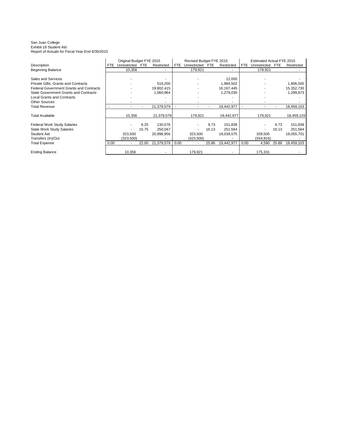#### San Juan College Exhibit 19 Student Aid Report of Actuals for Fiscal Year End 6/30/2015

|                                                |      | Original Budget FYE 2015 |            |            | Revised Budget FYE 2015 |                  |       |              | <b>Estimated Actual FYE 2015</b> |              |            |            |
|------------------------------------------------|------|--------------------------|------------|------------|-------------------------|------------------|-------|--------------|----------------------------------|--------------|------------|------------|
| Description                                    | FTE. | Unrestricted             | <b>FTE</b> | Restricted | <b>FTE</b>              | Unrestricted FTE |       | Restricted   | FTE                              | Unrestricted | <b>FTE</b> | Restricted |
| <b>Beginning Balance</b>                       |      | 10,356                   |            |            |                         | 179,921          |       |              |                                  | 179,921      |            |            |
|                                                |      |                          |            |            |                         |                  |       |              |                                  |              |            |            |
| Sales and Services                             |      |                          |            |            |                         |                  |       | 12,000       |                                  |              |            |            |
| Private Gifts, Grants and Contracts            |      |                          |            | 516,200    |                         |                  |       | 1,984,502    |                                  |              |            | 1,806,500  |
| <b>Federal Government Grants and Contracts</b> |      |                          |            | 19,802,415 |                         |                  |       | 16, 167, 445 |                                  |              |            | 15,352,730 |
| <b>State Government Grants and Contracts</b>   |      |                          |            | 1,060,964  |                         |                  |       | 1,279,030    |                                  |              |            | 1,299,873  |
| <b>Local Grants and Contracts</b>              |      |                          |            |            |                         |                  |       |              |                                  |              |            |            |
| <b>Other Sources</b>                           |      |                          |            |            |                         |                  |       |              |                                  |              |            |            |
| <b>Total Revenue</b>                           |      |                          |            | 21,379,579 |                         |                  |       | 19,442,977   |                                  |              |            | 18,459,103 |
|                                                |      |                          |            |            |                         |                  |       |              |                                  |              |            |            |
| <b>Total Available</b>                         |      | 10,356                   |            | 21,379,579 |                         | 179,921          |       | 19,442,977   |                                  | 179,921      |            | 18,459,103 |
|                                                |      |                          |            |            |                         |                  |       |              |                                  |              |            |            |
| <b>Federal Work Study Salaries</b>             |      |                          | 6.25       | 130,576    |                         |                  | 9.73  | 151,838      |                                  |              | 9.73       | 151,838    |
| <b>State Work Study Salaries</b>               |      |                          | 15.75      | 250,047    |                         |                  | 16.13 | 251,564      |                                  |              | 16.13      | 251,564    |
| <b>Student Aid</b>                             |      | 323,500                  |            | 20,998,956 |                         | 323,500          |       | 19,039,575   |                                  | 339,505      |            | 18,055,701 |
| Transfers (In)/Out                             |      | (323, 500)               |            |            |                         | (323,500)        |       |              |                                  | (334, 915)   |            |            |
| <b>Total Expense</b>                           | 0.00 |                          | 22.00      | 21,379,579 | 0.00                    |                  | 25.86 | 19,442,977   | 0.00                             | 4,590        | 25.86      | 18,459,103 |
|                                                |      |                          |            |            |                         |                  |       |              |                                  |              |            |            |
| <b>Ending Balance</b>                          |      | 10,356                   |            |            |                         | 179,921          |       |              |                                  | 175,331      |            |            |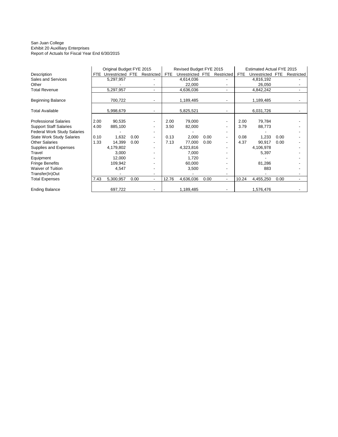#### San Juan College Exhibit 20 Auxilliary Enterprises Report of Actuals for Fiscal Year End 6/30/2015

|                                    |            | Original Budget FYE 2015 |            |                          |            | Revised Budget FYE 2015 |            |                |            | Estimated Actual FYE 2015 |            |            |
|------------------------------------|------------|--------------------------|------------|--------------------------|------------|-------------------------|------------|----------------|------------|---------------------------|------------|------------|
| Description                        | <b>FTE</b> | Unrestricted             | <b>FTE</b> | Restricted               | <b>FTE</b> | Unrestricted            | <b>FTE</b> | Restricted     | <b>FTE</b> | Unrestricted              | <b>FTE</b> | Restricted |
| Sales and Services                 |            | 5,297,957                |            |                          |            | 4,614,036               |            |                |            | 4,816,192                 |            |            |
| Other                              |            |                          |            |                          |            | 22,000                  |            |                |            | 26,050                    |            |            |
| <b>Total Revenue</b>               |            | 5,297,957                |            |                          |            | 4,636,036               |            |                |            | 4,842,242                 |            |            |
| <b>Beginning Balance</b>           |            | 700,722                  |            |                          |            | 1,189,485               |            |                |            | 1,189,485                 |            |            |
| <b>Total Available</b>             |            | 5,998,679                |            |                          |            | 5,825,521               |            |                |            | 6,031,726                 |            |            |
| <b>Professional Salaries</b>       | 2.00       | 90,535                   |            | $\blacksquare$           | 2.00       | 79,000                  |            |                | 2.00       | 79,784                    |            |            |
| <b>Support Staff Salaries</b>      | 4.00       | 885,100                  |            |                          | 3.50       | 82,000                  |            |                | 3.79       | 88,773                    |            |            |
| <b>Federal Work Study Salaries</b> |            |                          |            | $\overline{\phantom{a}}$ |            |                         |            |                |            |                           |            |            |
| <b>State Work Study Salaries</b>   | 0.10       | 1,632                    | 0.00       |                          | 0.13       | 2,000                   | 0.00       |                | 0.08       | 1,233                     | 0.00       |            |
| <b>Other Salaries</b>              | 1.33       | 14,399                   | 0.00       |                          | 7.13       | 77,000                  | 0.00       |                | 4.37       | 90,917                    | 0.00       |            |
| Supplies and Expenses              |            | 4,179,802                |            |                          |            | 4,323,816               |            |                |            | 4,106,978                 |            |            |
| Travel                             |            | 3,000                    |            |                          |            | 7,000                   |            |                |            | 5,397                     |            |            |
| Equipment                          |            | 12,000                   |            |                          |            | 1,720                   |            |                |            |                           |            |            |
| <b>Fringe Benefits</b>             |            | 109,942                  |            |                          |            | 60,000                  |            |                |            | 81,286                    |            |            |
| <b>Waiver of Tuition</b>           |            | 4,547                    |            |                          |            | 3,500                   |            |                |            | 883                       |            |            |
| Transfer(In)Out                    |            |                          |            |                          |            |                         |            |                |            |                           |            |            |
| <b>Total Expenses</b>              | 7.43       | 5,300,957                | 0.00       | $\overline{\phantom{a}}$ | 12.76      | 4,636,036               | 0.00       | $\blacksquare$ | 10.24      | 4,455,250                 | 0.00       |            |
| <b>Ending Balance</b>              |            | 697,722                  |            |                          |            | 1,189,485               |            |                |            | 1,576,476                 |            |            |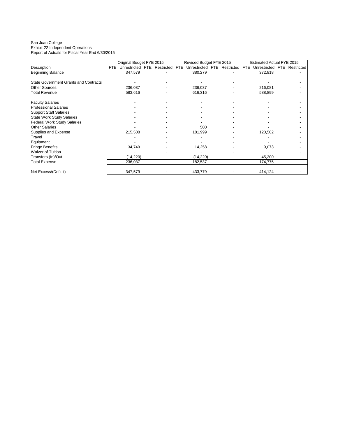#### San Juan College Exhibit 22 Independent Operations Report of Actuals for Fiscal Year End 6/30/2015

|                                              | Original Budget FYE 2015 |                             |  |  | Revised Budget FYE 2015 |              |  |                       | Estimated Actual FYE 2015 |              |  |                |
|----------------------------------------------|--------------------------|-----------------------------|--|--|-------------------------|--------------|--|-----------------------|---------------------------|--------------|--|----------------|
| Description                                  | FTE.                     | Unrestricted FTE Restricted |  |  | <b>FTE</b>              | Unrestricted |  | <b>FTE</b> Restricted | FTE.                      | Unrestricted |  | FTE Restricted |
| <b>Beginning Balance</b>                     |                          | 347,579                     |  |  |                         | 380,279      |  |                       |                           | 372,818      |  |                |
|                                              |                          |                             |  |  |                         |              |  |                       |                           |              |  |                |
| <b>State Government Grants and Contracts</b> |                          |                             |  |  |                         |              |  |                       |                           |              |  |                |
| <b>Other Sources</b>                         |                          | 236,037                     |  |  |                         | 236,037      |  |                       |                           | 216,081      |  |                |
| <b>Total Revenue</b>                         |                          | 583,616                     |  |  |                         | 616,316      |  |                       |                           | 588,899      |  |                |
| <b>Faculty Salaries</b>                      |                          |                             |  |  |                         |              |  |                       |                           |              |  |                |
| <b>Professional Salaries</b>                 |                          |                             |  |  |                         |              |  |                       |                           |              |  |                |
| <b>Support Staff Salaries</b>                |                          |                             |  |  |                         |              |  |                       |                           |              |  |                |
| <b>State Work Study Salaries</b>             |                          |                             |  |  |                         |              |  |                       |                           |              |  |                |
| <b>Federal Work Study Salaries</b>           |                          |                             |  |  |                         |              |  |                       |                           |              |  |                |
| <b>Other Salaries</b>                        |                          |                             |  |  |                         | 500          |  |                       |                           |              |  |                |
| Supplies and Expense                         |                          | 215,508                     |  |  |                         | 181,999      |  |                       |                           | 120,502      |  |                |
| Travel                                       |                          |                             |  |  |                         |              |  |                       |                           |              |  |                |
| Equipment                                    |                          |                             |  |  |                         |              |  |                       |                           |              |  |                |
| <b>Fringe Benefits</b>                       |                          | 34,749                      |  |  |                         | 14,258       |  |                       |                           | 9,073        |  |                |
| Waiver of Tuition                            |                          |                             |  |  |                         |              |  |                       |                           |              |  |                |
| Transfers (In)/Out                           |                          | (14, 220)                   |  |  |                         | (14, 220)    |  |                       |                           | 45,200       |  |                |
| <b>Total Expense</b>                         |                          | 236,037                     |  |  |                         | 182,537      |  |                       |                           | 174,775      |  |                |
| Net Excess/(Deficit)                         |                          | 347,579                     |  |  |                         | 433,779      |  |                       |                           | 414,124      |  |                |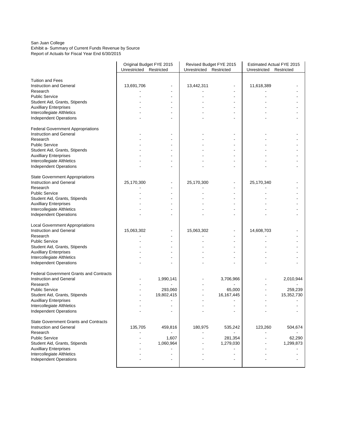#### San Juan College Exhibit a- Summary of Current Funds Revenue by Source Report of Actuals for Fiscal Year End 6/30/2015

|                                                      | Original Budget FYE 2015 |            |                         | Revised Budget FYE 2015  | Estimated Actual FYE 2015 |            |  |  |
|------------------------------------------------------|--------------------------|------------|-------------------------|--------------------------|---------------------------|------------|--|--|
|                                                      | Unrestricted Restricted  |            | Unrestricted Restricted |                          | Unrestricted Restricted   |            |  |  |
| <b>Tuition and Fees</b>                              |                          |            |                         |                          |                           |            |  |  |
| Instruction and General                              | 13,691,706               |            | 13,442,311              | $\overline{\phantom{a}}$ | 11,618,389                |            |  |  |
| Research                                             |                          |            |                         |                          |                           |            |  |  |
| <b>Public Service</b>                                |                          |            |                         |                          |                           |            |  |  |
| Student Aid, Grants, Stipends                        |                          |            |                         | $\overline{\phantom{a}}$ |                           |            |  |  |
| <b>Auxilliary Enterprises</b>                        |                          |            |                         |                          |                           |            |  |  |
| Intercollegiate Althletics                           |                          |            |                         | ٠                        |                           |            |  |  |
| <b>Independent Operations</b>                        |                          |            |                         |                          |                           |            |  |  |
| <b>Federal Government Appropriations</b>             |                          |            |                         |                          |                           |            |  |  |
| Instruction and General                              |                          |            |                         |                          |                           |            |  |  |
| Research                                             |                          |            |                         |                          |                           |            |  |  |
| <b>Public Service</b>                                |                          |            |                         |                          |                           |            |  |  |
| Student Aid, Grants, Stipends                        |                          |            |                         |                          |                           |            |  |  |
| <b>Auxilliary Enterprises</b>                        |                          |            |                         |                          |                           |            |  |  |
| Intercollegiate Althletics                           |                          |            |                         |                          |                           |            |  |  |
| <b>Independent Operations</b>                        |                          |            |                         |                          |                           |            |  |  |
| <b>State Government Appropriations</b>               |                          |            |                         |                          |                           |            |  |  |
| Instruction and General                              | 25,170,300               |            | 25,170,300              |                          | 25,170,340                |            |  |  |
| Research                                             |                          |            |                         |                          |                           |            |  |  |
| <b>Public Service</b>                                |                          |            |                         | $\overline{\phantom{a}}$ |                           |            |  |  |
| Student Aid, Grants, Stipends                        |                          |            |                         | ٠                        |                           |            |  |  |
| <b>Auxilliary Enterprises</b>                        |                          |            |                         |                          |                           |            |  |  |
| Intercollegiate Althletics                           |                          |            |                         |                          |                           |            |  |  |
| Independent Operations                               |                          |            |                         |                          |                           |            |  |  |
| <b>Local Government Appropriations</b>               |                          |            |                         |                          |                           |            |  |  |
| Instruction and General                              | 15,063,302               |            | 15,063,302              |                          | 14,608,703                |            |  |  |
| Research                                             |                          |            |                         |                          |                           |            |  |  |
| <b>Public Service</b>                                |                          |            |                         |                          |                           |            |  |  |
| Student Aid, Grants, Stipends                        |                          |            |                         |                          |                           |            |  |  |
| <b>Auxilliary Enterprises</b>                        |                          |            |                         |                          |                           |            |  |  |
| Intercollegiate Althletics                           |                          |            |                         |                          |                           |            |  |  |
| <b>Independent Operations</b>                        |                          |            |                         |                          |                           |            |  |  |
| <b>Federal Government Grants and Contracts</b>       |                          |            |                         |                          |                           |            |  |  |
| Instruction and General                              |                          | 1,990,141  |                         | 3,706,966                |                           | 2,010,944  |  |  |
| Research                                             |                          |            |                         |                          |                           |            |  |  |
| <b>Public Service</b>                                |                          | 293,060    |                         | 65,000                   |                           | 259,239    |  |  |
| Student Aid, Grants, Stipends                        |                          | 19,802,415 |                         | 16,167,445               |                           | 15,352,730 |  |  |
| <b>Auxilliary Enterprises</b>                        |                          |            |                         |                          |                           |            |  |  |
| Intercollegiate Althletics                           |                          |            |                         |                          |                           |            |  |  |
| <b>Independent Operations</b>                        |                          |            |                         |                          |                           |            |  |  |
| <b>State Government Grants and Contracts</b>         |                          |            |                         |                          |                           |            |  |  |
| Instruction and General                              | 135,705                  | 459,816    | 180,975                 | 535,242                  | 123,260                   | 504,674    |  |  |
| Research                                             |                          |            |                         |                          |                           |            |  |  |
| <b>Public Service</b>                                |                          | 1,607      |                         | 281,354                  |                           | 62,290     |  |  |
| Student Aid, Grants, Stipends                        |                          | 1,060,964  |                         | 1,279,030                |                           | 1,299,873  |  |  |
| <b>Auxilliary Enterprises</b>                        |                          |            |                         |                          |                           |            |  |  |
| Intercollegiate Althletics<br>Independent Operations |                          |            |                         |                          |                           |            |  |  |
|                                                      |                          |            |                         |                          |                           |            |  |  |
|                                                      |                          |            |                         |                          |                           |            |  |  |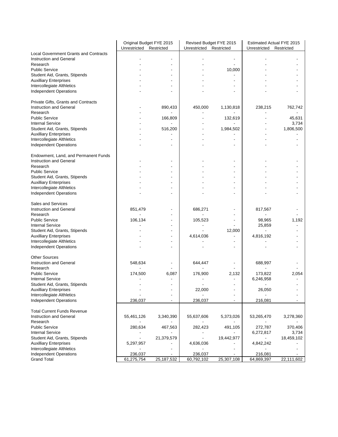|                                              | Original Budget FYE 2015 |                          | Revised Budget FYE 2015  |                                            | Estimated Actual FYE 2015 |                          |
|----------------------------------------------|--------------------------|--------------------------|--------------------------|--------------------------------------------|---------------------------|--------------------------|
|                                              | Unrestricted Restricted  |                          | Unrestricted             | Restricted                                 | Unrestricted              | Restricted               |
| <b>Local Government Grants and Contracts</b> |                          |                          |                          |                                            |                           |                          |
| Instruction and General<br>Research          |                          | $\overline{\phantom{a}}$ |                          | $\overline{\phantom{a}}$<br>$\blacksquare$ |                           |                          |
| <b>Public Service</b>                        |                          |                          |                          | 10,000                                     |                           |                          |
| Student Aid, Grants, Stipends                |                          |                          |                          |                                            |                           |                          |
| <b>Auxilliary Enterprises</b>                |                          |                          |                          |                                            |                           |                          |
| Intercollegiate Althletics                   |                          |                          |                          |                                            |                           |                          |
| Independent Operations                       |                          |                          |                          |                                            |                           |                          |
|                                              |                          |                          |                          |                                            |                           |                          |
| Private Gifts, Grants and Contracts          |                          |                          |                          |                                            |                           |                          |
| Instruction and General                      |                          | 890,433                  | 450,000                  | 1,130,818                                  | 238,215                   | 762,742                  |
| Research                                     |                          |                          |                          |                                            |                           |                          |
| <b>Public Service</b>                        |                          | 166,809                  |                          | 132,619                                    |                           | 45,631                   |
| <b>Internal Service</b>                      |                          |                          |                          |                                            |                           | 3,734                    |
| Student Aid, Grants, Stipends                |                          | 516,200                  |                          | 1,984,502                                  |                           | 1,806,500                |
| <b>Auxilliary Enterprises</b>                |                          |                          |                          |                                            |                           |                          |
| Intercollegiate Althletics                   |                          |                          |                          |                                            |                           |                          |
| <b>Independent Operations</b>                |                          |                          |                          |                                            |                           |                          |
|                                              |                          |                          |                          |                                            |                           |                          |
| Endowment, Land, and Permanent Funds         |                          |                          |                          |                                            |                           |                          |
| Instruction and General                      |                          |                          |                          |                                            |                           |                          |
| Research                                     |                          |                          |                          |                                            |                           |                          |
| <b>Public Service</b>                        |                          |                          |                          |                                            |                           |                          |
|                                              |                          |                          |                          |                                            |                           |                          |
| Student Aid, Grants, Stipends                |                          |                          |                          |                                            |                           |                          |
| <b>Auxilliary Enterprises</b>                |                          |                          |                          |                                            |                           |                          |
| Intercollegiate Althletics                   |                          |                          |                          |                                            |                           |                          |
| <b>Independent Operations</b>                |                          |                          |                          |                                            |                           |                          |
| Sales and Services                           |                          |                          |                          |                                            |                           |                          |
|                                              |                          |                          |                          |                                            |                           |                          |
| Instruction and General                      | 851,479                  |                          | 686,271                  |                                            | 817,567                   |                          |
| Research                                     |                          |                          |                          |                                            |                           |                          |
| <b>Public Service</b>                        | 106,134                  | $\blacksquare$           | 105,523                  |                                            | 98,965                    | 1,192                    |
| <b>Internal Service</b>                      |                          |                          |                          |                                            | 25,859                    |                          |
| Student Aid, Grants, Stipends                |                          |                          |                          | 12,000                                     |                           |                          |
| <b>Auxilliary Enterprises</b>                |                          | ٠                        | 4,614,036                |                                            | 4,816,192                 |                          |
| Intercollegiate Althletics                   |                          | ٠                        |                          | $\overline{\phantom{a}}$                   |                           |                          |
| <b>Independent Operations</b>                |                          |                          |                          |                                            |                           |                          |
| <b>Other Sources</b>                         |                          |                          |                          |                                            |                           |                          |
| Instruction and General                      |                          |                          | 644,447                  |                                            | 688,997                   |                          |
| Research                                     | 548,634                  |                          |                          |                                            |                           |                          |
| <b>Public Service</b>                        | 174,500                  | 6,087                    | 176,900                  | 2,132                                      | 173,822                   | 2,054                    |
| <b>Internal Service</b>                      |                          |                          |                          |                                            | 6,246,958                 |                          |
| Student Aid, Grants, Stipends                |                          |                          | $\overline{\phantom{a}}$ | $\overline{\phantom{a}}$                   | $\blacksquare$            |                          |
|                                              |                          |                          |                          |                                            |                           |                          |
| <b>Auxiliary Enterprises</b>                 |                          |                          | 22,000                   |                                            | 26,050                    |                          |
| Intercollegiate Althletics                   |                          |                          |                          |                                            |                           |                          |
| Independent Operations                       | 236,037                  |                          | 236,037                  |                                            | 216,081                   |                          |
| <b>Total Current Funds Revenue</b>           |                          |                          |                          |                                            |                           |                          |
|                                              |                          |                          |                          |                                            |                           |                          |
| Instruction and General                      | 55,461,126               | 3,340,390                | 55,637,606               | 5,373,026                                  | 53,265,470                | 3,278,360                |
| Research                                     |                          |                          |                          |                                            |                           |                          |
| <b>Public Service</b>                        | 280,634                  | 467,563                  | 282,423                  | 491,105                                    | 272,787                   | 370,406                  |
| <b>Internal Service</b>                      |                          |                          |                          |                                            | 6,272,817                 | 3,734                    |
| Student Aid, Grants, Stipends                |                          | 21,379,579               |                          | 19,442,977                                 |                           | 18,459,102               |
| <b>Auxilliary Enterprises</b>                | 5,297,957                |                          | 4,636,036                |                                            | 4,842,242                 |                          |
| Intercollegiate Althletics                   |                          |                          |                          |                                            |                           |                          |
| Independent Operations                       | 236,037                  | $\overline{\phantom{a}}$ | 236,037                  | $\overline{\phantom{a}}$                   | 216,081                   | $\overline{\phantom{a}}$ |
| <b>Grand Total</b>                           | 61,275,754               | 25, 187, 532             | 60,792,102               | 25,307,108                                 | 64,869,397                | 22,111,602               |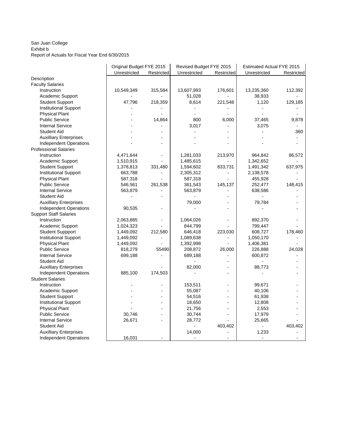#### San Juan College Exhibit b Report of Actuals for Fiscal Year End 6/30/2015

| Unrestricted<br>Unrestricted<br>Unrestricted<br>Restricted<br>Restricted            | Revised Budget FYE 2015<br>Estimated Actual FYE 2015 |  |  |  |
|-------------------------------------------------------------------------------------|------------------------------------------------------|--|--|--|
|                                                                                     | Restricted                                           |  |  |  |
| Description                                                                         |                                                      |  |  |  |
| <b>Faculty Salaries</b>                                                             |                                                      |  |  |  |
| 10,549,349<br>Instruction<br>315,584<br>13,607,993<br>176,601<br>13,235,360         | 112,392                                              |  |  |  |
| Academic Support<br>51,028<br>38,933                                                |                                                      |  |  |  |
| 47,796<br>8,614<br>1,120<br><b>Student Support</b><br>218,359<br>221,548            | 129,185                                              |  |  |  |
| <b>Institutional Support</b>                                                        |                                                      |  |  |  |
| <b>Physical Plant</b>                                                               |                                                      |  |  |  |
| <b>Public Service</b><br>14,864<br>800<br>6,000<br>37,465                           | 9,878                                                |  |  |  |
| <b>Internal Service</b><br>3,017<br>3,075                                           |                                                      |  |  |  |
| <b>Student Aid</b><br>$\qquad \qquad \blacksquare$                                  | 360                                                  |  |  |  |
| <b>Auxilliary Enterprises</b>                                                       |                                                      |  |  |  |
| <b>Independent Operations</b><br>$\overline{a}$                                     |                                                      |  |  |  |
| <b>Professional Salaries</b>                                                        |                                                      |  |  |  |
| 4,471,644<br>964,842<br>Instruction<br>1,281,033<br>213,970                         | 86,572                                               |  |  |  |
| Academic Support<br>1,510,915<br>1,485,615<br>1,342,652                             |                                                      |  |  |  |
| <b>Student Support</b><br>1,378,813<br>331,480<br>833,731<br>1,491,342<br>1,594,602 | 637,975                                              |  |  |  |
| <b>Institutional Support</b><br>663,788<br>2,305,312<br>2,138,578                   |                                                      |  |  |  |
| <b>Physical Plant</b><br>455,928<br>587,318<br>587,318                              |                                                      |  |  |  |
| <b>Public Service</b><br>145,137<br>546,561<br>261,538<br>361,543<br>252,477        | 148,415                                              |  |  |  |
| 563,879<br><b>Internal Service</b><br>563,879<br>638,586                            |                                                      |  |  |  |
| <b>Student Aid</b>                                                                  |                                                      |  |  |  |
| <b>Auxilliary Enterprises</b><br>79,000<br>79,784                                   |                                                      |  |  |  |
| <b>Independent Operations</b><br>90,535                                             |                                                      |  |  |  |
| <b>Support Staff Salaries</b>                                                       |                                                      |  |  |  |
| Instruction<br>2,063,885<br>1,064,026<br>892,370                                    |                                                      |  |  |  |
| Academic Support<br>1,024,323<br>844,799<br>799,447                                 |                                                      |  |  |  |
| 608,727<br><b>Student Suppport</b><br>1,449,092<br>212,580<br>646,418<br>223,030    | 178,460                                              |  |  |  |
| <b>Institutional Support</b><br>1,449,092<br>1,089,638<br>1,050,170                 |                                                      |  |  |  |
| <b>Physical Plant</b><br>1,392,998<br>1,449,092<br>1,406,381                        |                                                      |  |  |  |
| <b>Public Service</b><br>818,279<br>55490<br>208,872<br>26,000<br>226,888           | 24,028                                               |  |  |  |
| <b>Internal Service</b><br>699,188<br>689,188<br>600,872                            |                                                      |  |  |  |
| <b>Student Aid</b>                                                                  |                                                      |  |  |  |
| <b>Auxilliary Enterprises</b><br>82,000<br>88,773                                   |                                                      |  |  |  |
| 885,100<br><b>Independent Operations</b><br>174,503                                 |                                                      |  |  |  |
| <b>Student Salaries</b>                                                             |                                                      |  |  |  |
| 153,511<br>99,671<br>Instruction                                                    |                                                      |  |  |  |
| Academic Support<br>55,087<br>40,106                                                |                                                      |  |  |  |
| 54,516<br><b>Student Support</b><br>61,938                                          |                                                      |  |  |  |
| <b>Institutional Support</b><br>18,650<br>12,808                                    |                                                      |  |  |  |
| <b>Physical Plant</b><br>21,756<br>2,553                                            |                                                      |  |  |  |
| <b>Public Service</b><br>30,746<br>30,744<br>17,979<br>$\overline{a}$               |                                                      |  |  |  |
| 26,671<br><b>Internal Service</b><br>28,772<br>25,665<br>$\overline{a}$             |                                                      |  |  |  |
| 403,402<br><b>Student Aid</b><br>$\frac{1}{2}$                                      | 403,402                                              |  |  |  |
| 14,000<br><b>Auxilliary Enterprises</b><br>1,233                                    |                                                      |  |  |  |
| <b>Independent Operations</b><br>16,031                                             |                                                      |  |  |  |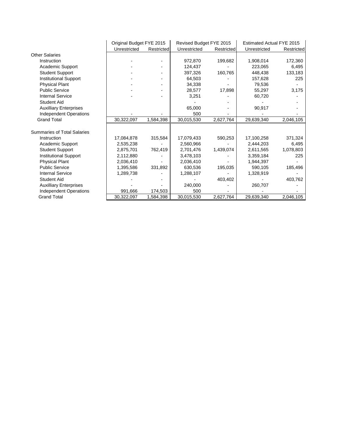|                                    | Original Budget FYE 2015 |            | Revised Budget FYE 2015 |            | <b>Estimated Actual FYE 2015</b> |            |
|------------------------------------|--------------------------|------------|-------------------------|------------|----------------------------------|------------|
|                                    | Unrestricted             | Restricted | Unrestricted            | Restricted | Unrestricted                     | Restricted |
| <b>Other Salaries</b>              |                          |            |                         |            |                                  |            |
| Instruction                        |                          |            | 972,870                 | 199,682    | 1,908,014                        | 172,360    |
| <b>Academic Support</b>            |                          |            | 124,437                 |            | 223,065                          | 6,495      |
| <b>Student Support</b>             |                          |            | 397,326                 | 160,765    | 448,438                          | 133,183    |
| <b>Institutional Support</b>       |                          |            | 64.503                  |            | 157,628                          | 225        |
| <b>Physical Plant</b>              |                          |            | 34,338                  |            | 79,536                           |            |
| <b>Public Service</b>              |                          |            | 28,577                  | 17,898     | 55,297                           | 3,175      |
| <b>Internal Service</b>            |                          |            | 3,251                   |            | 60,720                           |            |
| <b>Student Aid</b>                 |                          |            |                         |            |                                  |            |
| <b>Auxilliary Enterprises</b>      |                          |            | 65,000                  |            | 90,917                           |            |
| Independent Operations             |                          |            | 500                     |            |                                  |            |
| <b>Grand Total</b>                 | 30,322,097               | 1,584,398  | 30,015,530              | 2,627,764  | 29,639,340                       | 2,046,105  |
|                                    |                          |            |                         |            |                                  |            |
| <b>Summaries of Total Salaries</b> |                          |            |                         |            |                                  |            |
| Instruction                        | 17,084,878               | 315,584    | 17,079,433              | 590,253    | 17,100,258                       | 371,324    |
| <b>Academic Support</b>            | 2,535,238                |            | 2,560,966               |            | 2,444,203                        | 6,495      |
| <b>Student Support</b>             | 2,875,701                | 762,419    | 2,701,476               | 1,439,074  | 2,611,565                        | 1,078,803  |
| Institutional Support              | 2,112,880                |            | 3,478,103               |            | 3,359,184                        | 225        |
| <b>Physical Plant</b>              | 2,036,410                |            | 2.036.410               |            | 1.944.397                        |            |
| <b>Public Service</b>              | 1,395,586                | 331,892    | 630,536                 | 195,035    | 590,105                          | 185,496    |
| <b>Internal Service</b>            | 1,289,738                |            | 1,288,107               |            | 1,328,919                        |            |
| <b>Student Aid</b>                 |                          |            |                         | 403,402    |                                  | 403,762    |
| <b>Auxilliary Enterprises</b>      |                          |            | 240,000                 |            | 260,707                          |            |
| <b>Independent Operations</b>      | 991,666                  | 174,503    | 500                     |            |                                  |            |
| <b>Grand Total</b>                 | 30,322,097               | 1,584,398  | 30,015,530              | 2,627,764  | 29,639,340                       | 2,046,105  |